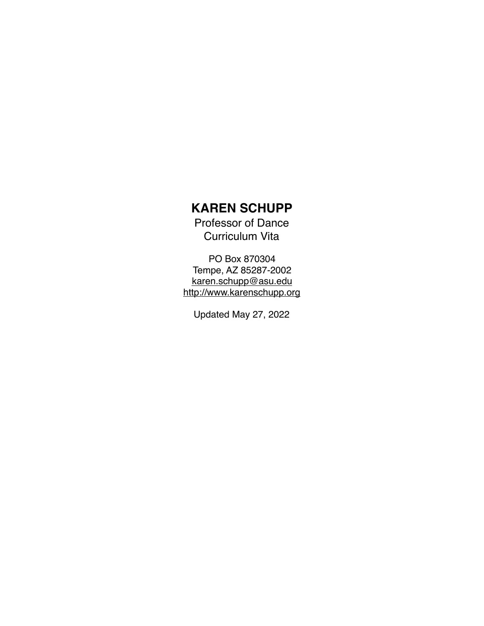# **KAREN SCHUPP**

Professor of Dance Curriculum Vita

PO Box 870304 Tempe, AZ 85287-2002 [karen.schupp@asu.edu](mailto:karen.schupp@asu.edu) <http://www.karenschupp.org>

Updated May 27, 2022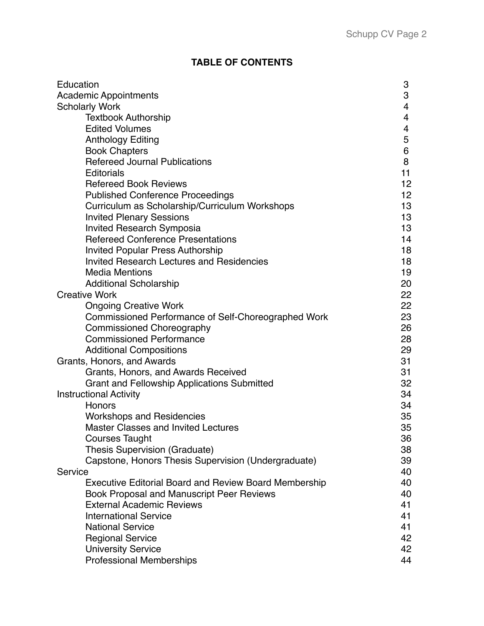# **TABLE OF CONTENTS**

| Education<br>3                                                     |  |
|--------------------------------------------------------------------|--|
| 3<br><b>Academic Appointments</b>                                  |  |
| <b>Scholarly Work</b><br>4                                         |  |
| <b>Textbook Authorship</b><br>4                                    |  |
| <b>Edited Volumes</b><br>4                                         |  |
| 5<br><b>Anthology Editing</b>                                      |  |
| 6<br><b>Book Chapters</b>                                          |  |
| <b>Refereed Journal Publications</b><br>8                          |  |
| 11<br><b>Editorials</b>                                            |  |
| 12<br><b>Refereed Book Reviews</b>                                 |  |
| 12<br><b>Published Conference Proceedings</b>                      |  |
| Curriculum as Scholarship/Curriculum Workshops<br>13               |  |
| <b>Invited Plenary Sessions</b><br>13                              |  |
| <b>Invited Research Symposia</b><br>13                             |  |
| <b>Refereed Conference Presentations</b><br>14                     |  |
| <b>Invited Popular Press Authorship</b><br>18                      |  |
| <b>Invited Research Lectures and Residencies</b><br>18             |  |
| <b>Media Mentions</b><br>19                                        |  |
| <b>Additional Scholarship</b><br>20                                |  |
| <b>Creative Work</b><br>22                                         |  |
| 22<br><b>Ongoing Creative Work</b>                                 |  |
| 23<br>Commissioned Performance of Self-Choreographed Work          |  |
| 26<br><b>Commissioned Choreography</b>                             |  |
| <b>Commissioned Performance</b><br>28                              |  |
| <b>Additional Compositions</b><br>29                               |  |
| 31<br>Grants, Honors, and Awards                                   |  |
| Grants, Honors, and Awards Received<br>31                          |  |
| 32<br><b>Grant and Fellowship Applications Submitted</b>           |  |
| <b>Instructional Activity</b><br>34                                |  |
| 34<br>Honors                                                       |  |
| <b>Workshops and Residencies</b><br>35                             |  |
| 35<br><b>Master Classes and Invited Lectures</b>                   |  |
| <b>Courses Taught</b><br>36                                        |  |
| Thesis Supervision (Graduate)<br>38                                |  |
| Capstone, Honors Thesis Supervision (Undergraduate)<br>39          |  |
| 40<br>Service                                                      |  |
| <b>Executive Editorial Board and Review Board Membership</b><br>40 |  |
| <b>Book Proposal and Manuscript Peer Reviews</b><br>40             |  |
| <b>External Academic Reviews</b><br>41                             |  |
| <b>International Service</b><br>41                                 |  |
| <b>National Service</b><br>41                                      |  |
| <b>Regional Service</b><br>42                                      |  |
| <b>University Service</b><br>42                                    |  |
| <b>Professional Memberships</b><br>44                              |  |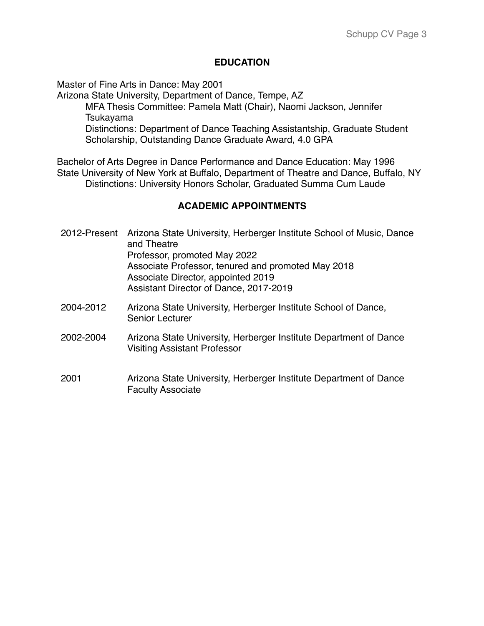### **EDUCATION**

Master of Fine Arts in Dance: May 2001

Arizona State University, Department of Dance, Tempe, AZ MFA Thesis Committee: Pamela Matt (Chair), Naomi Jackson, Jennifer Tsukayama Distinctions: Department of Dance Teaching Assistantship, Graduate Student Scholarship, Outstanding Dance Graduate Award, 4.0 GPA

Bachelor of Arts Degree in Dance Performance and Dance Education: May 1996 State University of New York at Buffalo, Department of Theatre and Dance, Buffalo, NY Distinctions: University Honors Scholar, Graduated Summa Cum Laude

# **ACADEMIC APPOINTMENTS**

- 2012-Present Arizona State University, Herberger Institute School of Music, Dance and Theatre Professor, promoted May 2022 Associate Professor, tenured and promoted May 2018 Associate Director, appointed 2019 Assistant Director of Dance, 2017-2019
- 2004-2012 Arizona State University, Herberger Institute School of Dance, Senior Lecturer
- 2002-2004 Arizona State University, Herberger Institute Department of Dance Visiting Assistant Professor
- 2001 Arizona State University, Herberger Institute Department of Dance Faculty Associate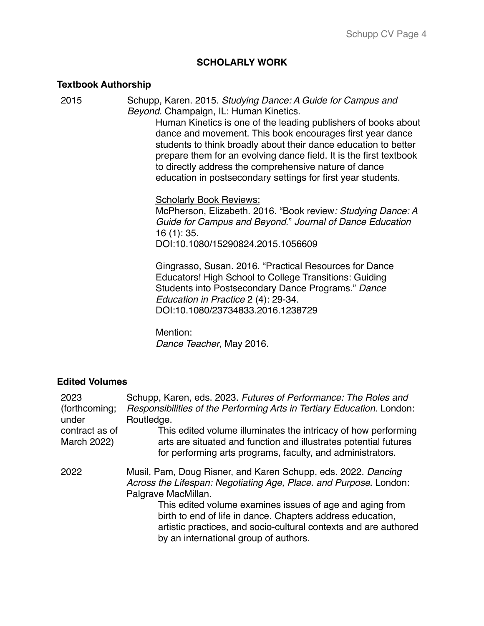#### **SCHOLARLY WORK**

#### **Textbook Authorship**

2015 Schupp, Karen. 2015. *Studying Dance: A Guide for Campus and Beyond*. Champaign, IL: Human Kinetics. Human Kinetics is one of the leading publishers of books about dance and movement. This book encourages first year dance students to think broadly about their dance education to better prepare them for an evolving dance field. It is the first textbook to directly address the comprehensive nature of dance education in postsecondary settings for first year students. Scholarly Book Reviews: McPherson, Elizabeth. 2016. "Book review*: Studying Dance: A Guide for Campus and Beyond*." *Journal of Dance Education*  16 (1): 35. DOI:10.1080/15290824.2015.1056609 Gingrasso, Susan. 2016. "Practical Resources for Dance Educators! High School to College Transitions: Guiding Students into Postsecondary Dance Programs." *Dance Education in Practice* 2 (4): 29-34. DOI:10.1080/23734833.2016.1238729 Mention:

*Dance Teacher*, May 2016.

#### **Edited Volumes**

| 2023<br>(forthcoming;<br>under<br>contract as of | Schupp, Karen, eds. 2023. Futures of Performance: The Roles and<br>Responsibilities of the Performing Arts in Tertiary Education. London:<br>Routledge.<br>This edited volume illuminates the intricacy of how performing           |
|--------------------------------------------------|-------------------------------------------------------------------------------------------------------------------------------------------------------------------------------------------------------------------------------------|
| March 2022)                                      | arts are situated and function and illustrates potential futures<br>for performing arts programs, faculty, and administrators.                                                                                                      |
| 2022                                             | Musil, Pam, Doug Risner, and Karen Schupp, eds. 2022. Dancing<br>Across the Lifespan: Negotiating Age, Place. and Purpose. London:<br>Palgrave MacMillan.                                                                           |
|                                                  | This edited volume examines issues of age and aging from<br>birth to end of life in dance. Chapters address education,<br>artistic practices, and socio-cultural contexts and are authored<br>by an international group of authors. |
|                                                  |                                                                                                                                                                                                                                     |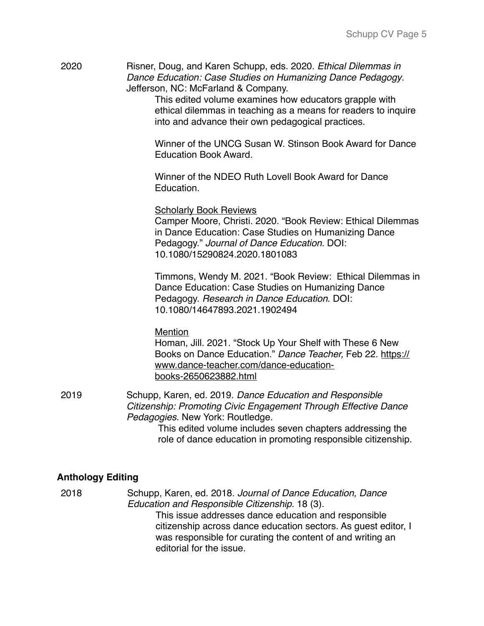| 2020 | Risner, Doug, and Karen Schupp, eds. 2020. Ethical Dilemmas in |
|------|----------------------------------------------------------------|
|      | Dance Education: Case Studies on Humanizing Dance Pedagogy.    |
|      | Jefferson, NC: McFarland & Company.                            |

This edited volume examines how educators grapple with ethical dilemmas in teaching as a means for readers to inquire into and advance their own pedagogical practices.

Winner of the UNCG Susan W. Stinson Book Award for Dance Education Book Award.

Winner of the NDEO Ruth Lovell Book Award for Dance Education.

Scholarly Book Reviews Camper Moore, Christi. 2020. "Book Review: Ethical Dilemmas in Dance Education: Case Studies on Humanizing Dance Pedagogy." *Journal of Dance Education.* DOI: 10.1080/15290824.2020.1801083

Timmons, Wendy M. 2021. "Book Review: Ethical Dilemmas in Dance Education: Case Studies on Humanizing Dance Pedagogy. *Research in Dance Education*. DOI: 10.1080/14647893.2021.1902494

**Mention** 

Homan, Jill. 2021. "Stock Up Your Shelf with These 6 New Books on Dance Education." *Dance Teacher,* Feb 22. https:// [www.dance-teacher.com/dance-education](https://www.dance-teacher.com/dance-education-books-2650623882.html)books-2650623882.html

2019 Schupp, Karen, ed. 2019. *Dance Education and Responsible Citizenship: Promoting Civic Engagement Through Effective Dance Pedagogies*. New York: Routledge. This edited volume includes seven chapters addressing the role of dance education in promoting responsible citizenship.

# **Anthology Editing**

2018 Schupp, Karen, ed. 2018. *Journal of Dance Education, Dance Education and Responsible Citizenship.* 18 (3). This issue addresses dance education and responsible citizenship across dance education sectors. As guest editor, I was responsible for curating the content of and writing an editorial for the issue.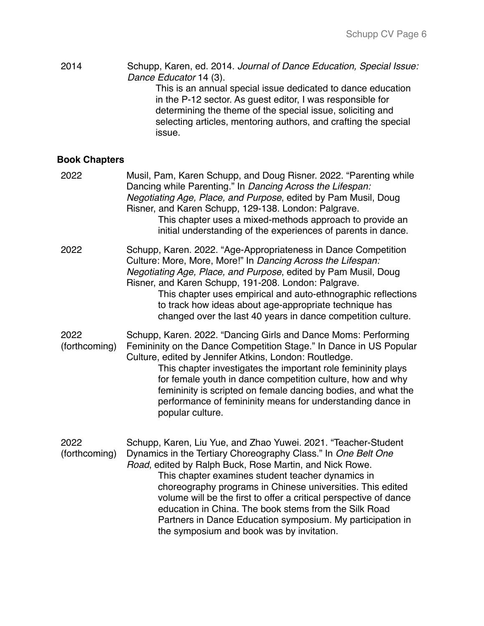2014 Schupp, Karen, ed. 2014. *Journal of Dance Education, Special Issue: Dance Educator* 14 (3). This is an annual special issue dedicated to dance education in the P-12 sector. As guest editor, I was responsible for determining the theme of the special issue, soliciting and selecting articles, mentoring authors, and crafting the special issue.

# **Book Chapters**

| 2022                  | Musil, Pam, Karen Schupp, and Doug Risner. 2022. "Parenting while<br>Dancing while Parenting." In Dancing Across the Lifespan:<br>Negotiating Age, Place, and Purpose, edited by Pam Musil, Doug<br>Risner, and Karen Schupp, 129-138. London: Palgrave.<br>This chapter uses a mixed-methods approach to provide an<br>initial understanding of the experiences of parents in dance.                                                                                                                                                                  |
|-----------------------|--------------------------------------------------------------------------------------------------------------------------------------------------------------------------------------------------------------------------------------------------------------------------------------------------------------------------------------------------------------------------------------------------------------------------------------------------------------------------------------------------------------------------------------------------------|
| 2022                  | Schupp, Karen. 2022. "Age-Appropriateness in Dance Competition<br>Culture: More, More, More!" In Dancing Across the Lifespan:<br>Negotiating Age, Place, and Purpose, edited by Pam Musil, Doug<br>Risner, and Karen Schupp, 191-208. London: Palgrave.<br>This chapter uses empirical and auto-ethnographic reflections<br>to track how ideas about age-appropriate technique has<br>changed over the last 40 years in dance competition culture.                                                                                                     |
| 2022<br>(forthcoming) | Schupp, Karen. 2022. "Dancing Girls and Dance Moms: Performing<br>Femininity on the Dance Competition Stage." In Dance in US Popular<br>Culture, edited by Jennifer Atkins, London: Routledge.<br>This chapter investigates the important role femininity plays<br>for female youth in dance competition culture, how and why<br>femininity is scripted on female dancing bodies, and what the<br>performance of femininity means for understanding dance in<br>popular culture.                                                                       |
| 2022<br>(forthcoming) | Schupp, Karen, Liu Yue, and Zhao Yuwei. 2021. "Teacher-Student<br>Dynamics in the Tertiary Choreography Class." In One Belt One<br>Road, edited by Ralph Buck, Rose Martin, and Nick Rowe.<br>This chapter examines student teacher dynamics in<br>choreography programs in Chinese universities. This edited<br>volume will be the first to offer a critical perspective of dance<br>education in China. The book stems from the Silk Road<br>Partners in Dance Education symposium. My participation in<br>the symposium and book was by invitation. |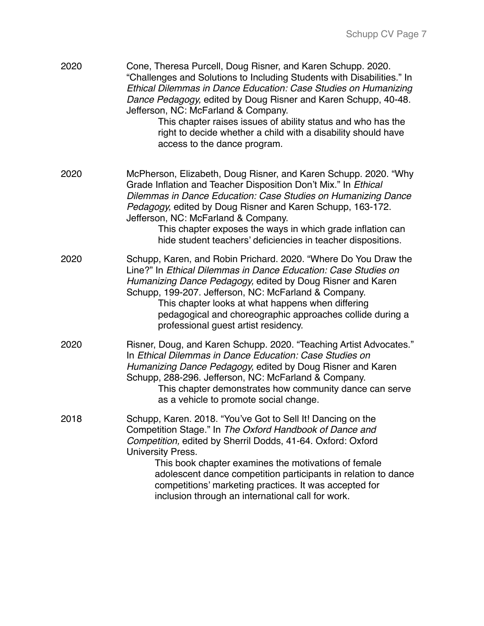| 2020 | Cone, Theresa Purcell, Doug Risner, and Karen Schupp. 2020.<br>"Challenges and Solutions to Including Students with Disabilities." In<br>Ethical Dilemmas in Dance Education: Case Studies on Humanizing<br>Dance Pedagogy, edited by Doug Risner and Karen Schupp, 40-48.<br>Jefferson, NC: McFarland & Company.<br>This chapter raises issues of ability status and who has the<br>right to decide whether a child with a disability should have<br>access to the dance program. |
|------|------------------------------------------------------------------------------------------------------------------------------------------------------------------------------------------------------------------------------------------------------------------------------------------------------------------------------------------------------------------------------------------------------------------------------------------------------------------------------------|
| 2020 | McPherson, Elizabeth, Doug Risner, and Karen Schupp. 2020. "Why<br>Grade Inflation and Teacher Disposition Don't Mix." In Ethical<br>Dilemmas in Dance Education: Case Studies on Humanizing Dance<br>Pedagogy, edited by Doug Risner and Karen Schupp, 163-172.<br>Jefferson, NC: McFarland & Company.<br>This chapter exposes the ways in which grade inflation can<br>hide student teachers' deficiencies in teacher dispositions.                                              |
| 2020 | Schupp, Karen, and Robin Prichard. 2020. "Where Do You Draw the<br>Line?" In Ethical Dilemmas in Dance Education: Case Studies on<br>Humanizing Dance Pedagogy, edited by Doug Risner and Karen<br>Schupp, 199-207. Jefferson, NC: McFarland & Company.<br>This chapter looks at what happens when differing<br>pedagogical and choreographic approaches collide during a<br>professional guest artist residency.                                                                  |
| 2020 | Risner, Doug, and Karen Schupp. 2020. "Teaching Artist Advocates."<br>In Ethical Dilemmas in Dance Education: Case Studies on<br>Humanizing Dance Pedagogy, edited by Doug Risner and Karen<br>Schupp, 288-296. Jefferson, NC: McFarland & Company.<br>This chapter demonstrates how community dance can serve<br>as a vehicle to promote social change.                                                                                                                           |
| 2018 | Schupp, Karen. 2018. "You've Got to Sell It! Dancing on the<br>Competition Stage." In The Oxford Handbook of Dance and<br>Competition, edited by Sherril Dodds, 41-64. Oxford: Oxford<br>University Press.<br>This book chapter examines the motivations of female<br>adolescent dance competition participants in relation to dance<br>competitions' marketing practices. It was accepted for<br>inclusion through an international call for work.                                |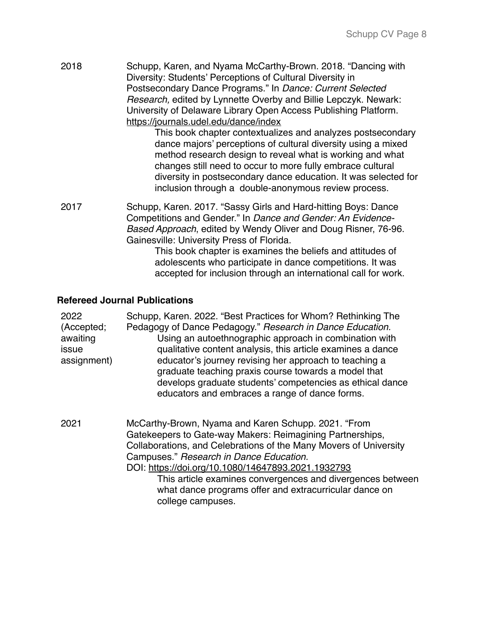2018 Schupp, Karen, and Nyama McCarthy-Brown. 2018. "Dancing with Diversity: Students' Perceptions of Cultural Diversity in Postsecondary Dance Programs." In *Dance: Current Selected Research,* edited by Lynnette Overby and Billie Lepczyk. Newark: University of Delaware Library Open Access Publishing Platform. <https://journals.udel.edu/dance/index>

This book chapter contextualizes and analyzes postsecondary dance majors' perceptions of cultural diversity using a mixed method research design to reveal what is working and what changes still need to occur to more fully embrace cultural diversity in postsecondary dance education. It was selected for inclusion through a double-anonymous review process.

2017 Schupp, Karen. 2017. "Sassy Girls and Hard-hitting Boys: Dance Competitions and Gender." In *Dance and Gender: An Evidence-Based Approach*, edited by Wendy Oliver and Doug Risner, 76-96. Gainesville: University Press of Florida.

This book chapter is examines the beliefs and attitudes of adolescents who participate in dance competitions. It was accepted for inclusion through an international call for work.

### **Refereed Journal Publications**

| 2022<br>(Accepted;<br>awaiting<br>issue<br>assignment) | Schupp, Karen. 2022. "Best Practices for Whom? Rethinking The<br>Pedagogy of Dance Pedagogy." Research in Dance Education.<br>Using an autoethnographic approach in combination with<br>qualitative content analysis, this article examines a dance<br>educator's journey revising her approach to teaching a<br>graduate teaching praxis course towards a model that<br>develops graduate students' competencies as ethical dance<br>educators and embraces a range of dance forms. |
|--------------------------------------------------------|--------------------------------------------------------------------------------------------------------------------------------------------------------------------------------------------------------------------------------------------------------------------------------------------------------------------------------------------------------------------------------------------------------------------------------------------------------------------------------------|
| 2021                                                   | McCarthy-Brown, Nyama and Karen Schupp. 2021. "From<br>Gatekeepers to Gate-way Makers: Reimagining Partnerships,<br>Collaborations, and Celebrations of the Many Movers of University<br>Campuses." Research in Dance Education.<br>DOI: https://doi.org/10.1080/14647893.2021.1932793<br>This article examines convergences and divergences between<br>what dance programs offer and extracurricular dance on<br>college campuses.                                                  |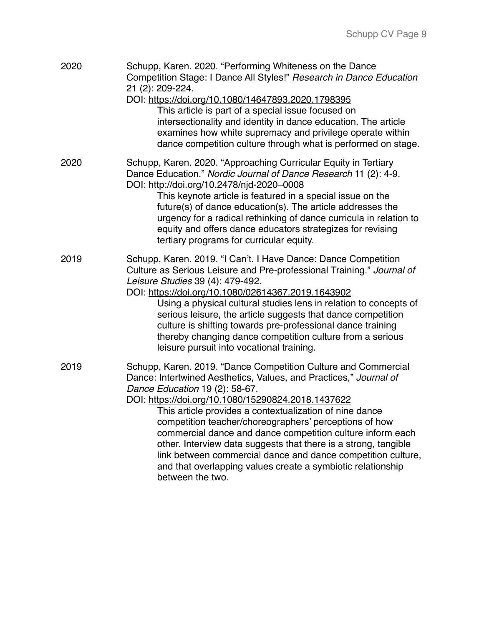| 2020 | Schupp, Karen. 2020. "Performing Whiteness on the Dance<br>Competition Stage: I Dance All Styles!" Research in Dance Education<br>21 (2): 209-224.<br>DOI: https://doi.org/10.1080/14647893.2020.1798395<br>This article is part of a special issue focused on<br>intersectionality and identity in dance education. The article<br>examines how white supremacy and privilege operate within<br>dance competition culture through what is performed on stage.                                                                                                                                                                       |
|------|--------------------------------------------------------------------------------------------------------------------------------------------------------------------------------------------------------------------------------------------------------------------------------------------------------------------------------------------------------------------------------------------------------------------------------------------------------------------------------------------------------------------------------------------------------------------------------------------------------------------------------------|
| 2020 | Schupp, Karen. 2020. "Approaching Curricular Equity in Tertiary<br>Dance Education." Nordic Journal of Dance Research 11 (2): 4-9.<br>DOI: http://doi.org/10.2478/njd-2020-0008<br>This keynote article is featured in a special issue on the<br>future(s) of dance education(s). The article addresses the<br>urgency for a radical rethinking of dance curricula in relation to<br>equity and offers dance educators strategizes for revising<br>tertiary programs for curricular equity.                                                                                                                                          |
| 2019 | Schupp, Karen. 2019. "I Can't. I Have Dance: Dance Competition<br>Culture as Serious Leisure and Pre-professional Training." Journal of<br>Leisure Studies 39 (4): 479-492.<br>DOI: https://doi.org/10.1080/02614367.2019.1643902<br>Using a physical cultural studies lens in relation to concepts of<br>serious leisure, the article suggests that dance competition<br>culture is shifting towards pre-professional dance training<br>thereby changing dance competition culture from a serious<br>leisure pursuit into vocational training.                                                                                      |
| 2019 | Schupp, Karen. 2019. "Dance Competition Culture and Commercial<br>Dance: Intertwined Aesthetics, Values, and Practices," Journal of<br>Dance Education 19 (2): 58-67.<br>DOI: https://doi.org/10.1080/15290824.2018.1437622<br>This article provides a contextualization of nine dance<br>competition teacher/choreographers' perceptions of how<br>commercial dance and dance competition culture inform each<br>other. Interview data suggests that there is a strong, tangible<br>link between commercial dance and dance competition culture,<br>and that overlapping values create a symbiotic relationship<br>between the two. |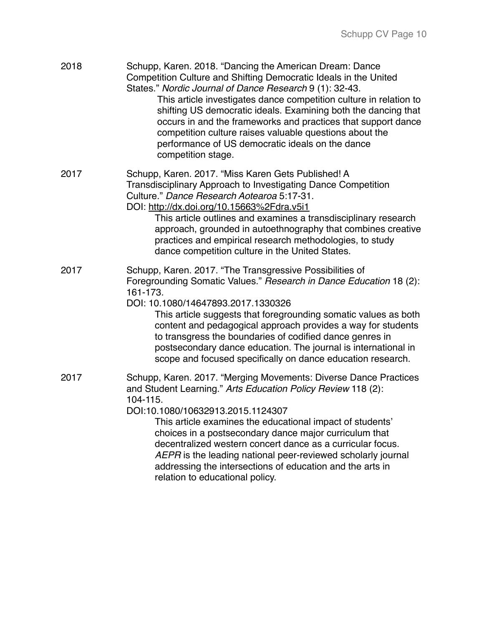| 2018 | Schupp, Karen. 2018. "Dancing the American Dream: Dance<br>Competition Culture and Shifting Democratic Ideals in the United<br>States." Nordic Journal of Dance Research 9 (1): 32-43.<br>This article investigates dance competition culture in relation to<br>shifting US democratic ideals. Examining both the dancing that<br>occurs in and the frameworks and practices that support dance<br>competition culture raises valuable questions about the<br>performance of US democratic ideals on the dance<br>competition stage.   |
|------|----------------------------------------------------------------------------------------------------------------------------------------------------------------------------------------------------------------------------------------------------------------------------------------------------------------------------------------------------------------------------------------------------------------------------------------------------------------------------------------------------------------------------------------|
| 2017 | Schupp, Karen. 2017. "Miss Karen Gets Published! A<br>Transdisciplinary Approach to Investigating Dance Competition<br>Culture." Dance Research Aotearoa 5:17-31.<br>DOI: http://dx.doi.org/10.15663%2Fdra.v5i1<br>This article outlines and examines a transdisciplinary research<br>approach, grounded in autoethnography that combines creative<br>practices and empirical research methodologies, to study<br>dance competition culture in the United States.                                                                      |
| 2017 | Schupp, Karen. 2017. "The Transgressive Possibilities of<br>Foregrounding Somatic Values." Research in Dance Education 18 (2):<br>161-173.<br>DOI: 10.1080/14647893.2017.1330326<br>This article suggests that foregrounding somatic values as both<br>content and pedagogical approach provides a way for students<br>to transgress the boundaries of codified dance genres in<br>postsecondary dance education. The journal is international in<br>scope and focused specifically on dance education research.                       |
| 2017 | Schupp, Karen. 2017. "Merging Movements: Diverse Dance Practices<br>and Student Learning." Arts Education Policy Review 118 (2):<br>104-115.<br>DOI:10.1080/10632913.2015.1124307<br>This article examines the educational impact of students'<br>choices in a postsecondary dance major curriculum that<br>decentralized western concert dance as a curricular focus.<br>AEPR is the leading national peer-reviewed scholarly journal<br>addressing the intersections of education and the arts in<br>relation to educational policy. |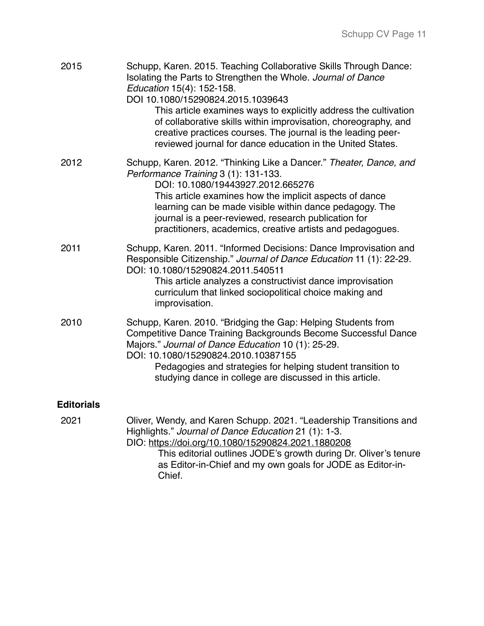| 2015              | Schupp, Karen. 2015. Teaching Collaborative Skills Through Dance:<br>Isolating the Parts to Strengthen the Whole. Journal of Dance<br>Education 15(4): 152-158.<br>DOI 10.1080/15290824.2015.1039643<br>This article examines ways to explicitly address the cultivation<br>of collaborative skills within improvisation, choreography, and<br>creative practices courses. The journal is the leading peer-<br>reviewed journal for dance education in the United States. |
|-------------------|---------------------------------------------------------------------------------------------------------------------------------------------------------------------------------------------------------------------------------------------------------------------------------------------------------------------------------------------------------------------------------------------------------------------------------------------------------------------------|
| 2012              | Schupp, Karen. 2012. "Thinking Like a Dancer." Theater, Dance, and<br>Performance Training 3 (1): 131-133.<br>DOI: 10.1080/19443927.2012.665276<br>This article examines how the implicit aspects of dance<br>learning can be made visible within dance pedagogy. The<br>journal is a peer-reviewed, research publication for<br>practitioners, academics, creative artists and pedagogues.                                                                               |
| 2011              | Schupp, Karen. 2011. "Informed Decisions: Dance Improvisation and<br>Responsible Citizenship." Journal of Dance Education 11 (1): 22-29.<br>DOI: 10.1080/15290824.2011.540511<br>This article analyzes a constructivist dance improvisation<br>curriculum that linked sociopolitical choice making and<br>improvisation.                                                                                                                                                  |
| 2010              | Schupp, Karen. 2010. "Bridging the Gap: Helping Students from<br><b>Competitive Dance Training Backgrounds Become Successful Dance</b><br>Majors." Journal of Dance Education 10 (1): 25-29.<br>DOI: 10.1080/15290824.2010.10387155<br>Pedagogies and strategies for helping student transition to<br>studying dance in college are discussed in this article.                                                                                                            |
| <b>Editorials</b> |                                                                                                                                                                                                                                                                                                                                                                                                                                                                           |
| 2021              | Oliver, Wendy, and Karen Schupp. 2021. "Leadership Transitions and<br>Highlights." Journal of Dance Education 21 (1): 1-3.<br>DIO: https://doi.org/10.1080/15290824.2021.1880208<br>This editorial outlines JODE's growth during Dr. Oliver's tenure<br>as Editor-in-Chief and my own goals for JODE as Editor-in-<br>Chief.                                                                                                                                              |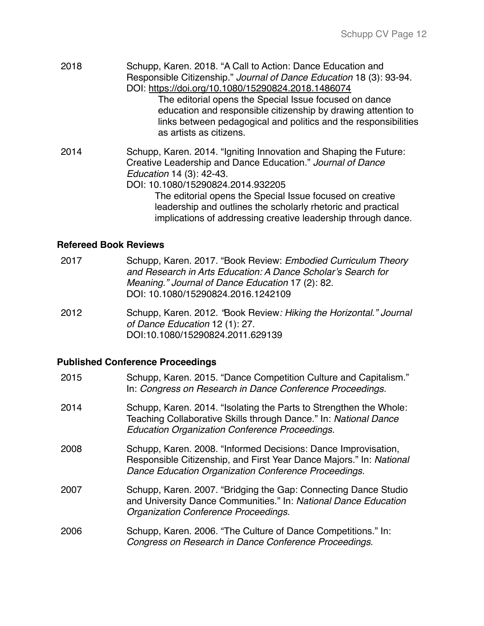| 2018 | Schupp, Karen. 2018. "A Call to Action: Dance Education and<br>Responsible Citizenship." Journal of Dance Education 18 (3): 93-94.<br>DOI: https://doi.org/10.1080/15290824.2018.1486074<br>The editorial opens the Special Issue focused on dance<br>education and responsible citizenship by drawing attention to<br>links between pedagogical and politics and the responsibilities<br>as artists as citizens. |
|------|-------------------------------------------------------------------------------------------------------------------------------------------------------------------------------------------------------------------------------------------------------------------------------------------------------------------------------------------------------------------------------------------------------------------|
| 2014 | Schupp, Karen. 2014. "Igniting Innovation and Shaping the Future:<br>Creative Leadership and Dance Education." Journal of Dance<br>Education 14 (3): 42-43.<br>DOI: 10.1080/15290824.2014.932205<br>The editorial opens the Special Issue focused on creative<br>leadership and outlines the scholarly rhetoric and practical<br>implications of addressing creative leadership through dance.                    |

# **Refereed Book Reviews**

| 2017 | Schupp, Karen. 2017. "Book Review: Embodied Curriculum Theory<br>and Research in Arts Education: A Dance Scholar's Search for<br>Meaning." Journal of Dance Education 17 (2): 82.<br>DOI: 10.1080/15290824.2016.1242109 |
|------|-------------------------------------------------------------------------------------------------------------------------------------------------------------------------------------------------------------------------|
| 2012 | Schupp, Karen. 2012. 'Book Review: Hiking the Horizontal." Journal<br>of Dance Education 12 (1): 27.                                                                                                                    |

DOI:10.1080/15290824.2011.629139

# **Published Conference Proceedings**

| 2015 | Schupp, Karen. 2015. "Dance Competition Culture and Capitalism."<br>In: Congress on Research in Dance Conference Proceedings.                                                                   |
|------|-------------------------------------------------------------------------------------------------------------------------------------------------------------------------------------------------|
| 2014 | Schupp, Karen. 2014. "Isolating the Parts to Strengthen the Whole:<br>Teaching Collaborative Skills through Dance." In: National Dance<br><b>Education Organization Conference Proceedings.</b> |
| 2008 | Schupp, Karen. 2008. "Informed Decisions: Dance Improvisation,<br>Responsible Citizenship, and First Year Dance Majors." In: National<br>Dance Education Organization Conference Proceedings.   |
| 2007 | Schupp, Karen. 2007. "Bridging the Gap: Connecting Dance Studio<br>and University Dance Communities." In: National Dance Education<br>Organization Conference Proceedings.                      |
| 2006 | Schupp, Karen. 2006. "The Culture of Dance Competitions." In:<br>Congress on Research in Dance Conference Proceedings.                                                                          |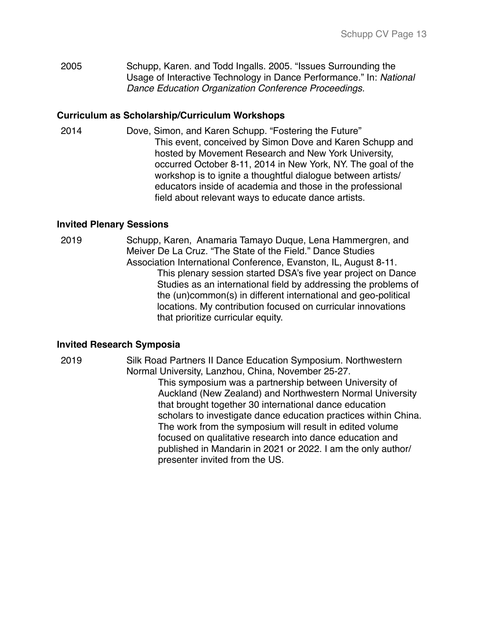2005 Schupp, Karen. and Todd Ingalls. 2005. "Issues Surrounding the Usage of Interactive Technology in Dance Performance." In: *National Dance Education Organization Conference Proceedings.*

## **Curriculum as Scholarship/Curriculum Workshops**

2014 Dove, Simon, and Karen Schupp. "Fostering the Future" This event, conceived by Simon Dove and Karen Schupp and hosted by Movement Research and New York University, occurred October 8-11, 2014 in New York, NY. The goal of the workshop is to ignite a thoughtful dialogue between artists/ educators inside of academia and those in the professional field about relevant ways to educate dance artists.

## **Invited Plenary Sessions**

2019 Schupp, Karen, Anamaria Tamayo Duque, Lena Hammergren, and Meiver De La Cruz. "The State of the Field." Dance Studies Association International Conference, Evanston, IL, August 8-11. This plenary session started DSA's five year project on Dance Studies as an international field by addressing the problems of the (un)common(s) in different international and geo-political locations. My contribution focused on curricular innovations that prioritize curricular equity.

## **Invited Research Symposia**

2019 Silk Road Partners II Dance Education Symposium. Northwestern Normal University, Lanzhou, China, November 25-27. This symposium was a partnership between University of Auckland (New Zealand) and Northwestern Normal University that brought together 30 international dance education scholars to investigate dance education practices within China. The work from the symposium will result in edited volume focused on qualitative research into dance education and published in Mandarin in 2021 or 2022. I am the only author/ presenter invited from the US.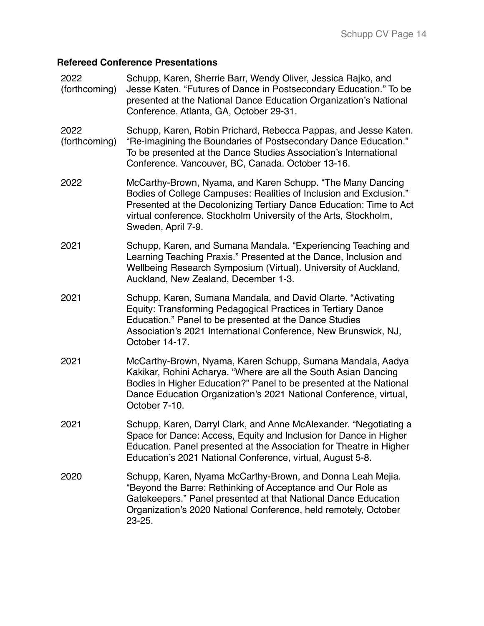# **Refereed Conference Presentations**

| 2022<br>(forthcoming) | Schupp, Karen, Sherrie Barr, Wendy Oliver, Jessica Rajko, and<br>Jesse Katen. "Futures of Dance in Postsecondary Education." To be<br>presented at the National Dance Education Organization's National<br>Conference. Atlanta, GA, October 29-31.                                                |
|-----------------------|---------------------------------------------------------------------------------------------------------------------------------------------------------------------------------------------------------------------------------------------------------------------------------------------------|
| 2022<br>(forthcoming) | Schupp, Karen, Robin Prichard, Rebecca Pappas, and Jesse Katen.<br>"Re-imagining the Boundaries of Postsecondary Dance Education."<br>To be presented at the Dance Studies Association's International<br>Conference. Vancouver, BC, Canada. October 13-16.                                       |
| 2022                  | McCarthy-Brown, Nyama, and Karen Schupp. "The Many Dancing<br>Bodies of College Campuses: Realities of Inclusion and Exclusion."<br>Presented at the Decolonizing Tertiary Dance Education: Time to Act<br>virtual conference. Stockholm University of the Arts, Stockholm,<br>Sweden, April 7-9. |
| 2021                  | Schupp, Karen, and Sumana Mandala. "Experiencing Teaching and<br>Learning Teaching Praxis." Presented at the Dance, Inclusion and<br>Wellbeing Research Symposium (Virtual). University of Auckland,<br>Auckland, New Zealand, December 1-3.                                                      |
| 2021                  | Schupp, Karen, Sumana Mandala, and David Olarte. "Activating<br>Equity: Transforming Pedagogical Practices in Tertiary Dance<br>Education." Panel to be presented at the Dance Studies<br>Association's 2021 International Conference, New Brunswick, NJ,<br>October 14-17.                       |
| 2021                  | McCarthy-Brown, Nyama, Karen Schupp, Sumana Mandala, Aadya<br>Kakikar, Rohini Acharya. "Where are all the South Asian Dancing<br>Bodies in Higher Education?" Panel to be presented at the National<br>Dance Education Organization's 2021 National Conference, virtual,<br>October 7-10.         |
| 2021                  | Schupp, Karen, Darryl Clark, and Anne McAlexander. "Negotiating a<br>Space for Dance: Access, Equity and Inclusion for Dance in Higher<br>Education. Panel presented at the Association for Theatre in Higher<br>Education's 2021 National Conference, virtual, August 5-8.                       |
| 2020                  | Schupp, Karen, Nyama McCarthy-Brown, and Donna Leah Mejia.<br>"Beyond the Barre: Rethinking of Acceptance and Our Role as<br>Gatekeepers." Panel presented at that National Dance Education<br>Organization's 2020 National Conference, held remotely, October<br>23-25.                          |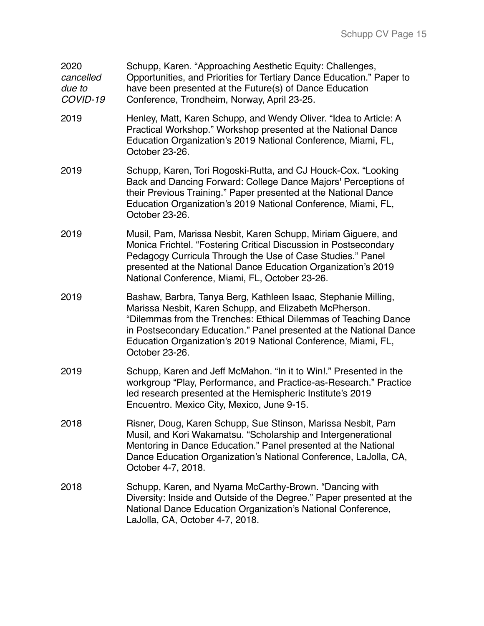| 2020<br>cancelled<br>due to<br>COVID-19 | Schupp, Karen. "Approaching Aesthetic Equity: Challenges,<br>Opportunities, and Priorities for Tertiary Dance Education." Paper to<br>have been presented at the Future(s) of Dance Education<br>Conference, Trondheim, Norway, April 23-25.                                                                                                         |
|-----------------------------------------|------------------------------------------------------------------------------------------------------------------------------------------------------------------------------------------------------------------------------------------------------------------------------------------------------------------------------------------------------|
| 2019                                    | Henley, Matt, Karen Schupp, and Wendy Oliver. "Idea to Article: A<br>Practical Workshop." Workshop presented at the National Dance<br>Education Organization's 2019 National Conference, Miami, FL,<br>October 23-26.                                                                                                                                |
| 2019                                    | Schupp, Karen, Tori Rogoski-Rutta, and CJ Houck-Cox. "Looking<br>Back and Dancing Forward: College Dance Majors' Perceptions of<br>their Previous Training." Paper presented at the National Dance<br>Education Organization's 2019 National Conference, Miami, FL,<br>October 23-26.                                                                |
| 2019                                    | Musil, Pam, Marissa Nesbit, Karen Schupp, Miriam Giguere, and<br>Monica Frichtel. "Fostering Critical Discussion in Postsecondary<br>Pedagogy Curricula Through the Use of Case Studies." Panel<br>presented at the National Dance Education Organization's 2019<br>National Conference, Miami, FL, October 23-26.                                   |
| 2019                                    | Bashaw, Barbra, Tanya Berg, Kathleen Isaac, Stephanie Milling,<br>Marissa Nesbit, Karen Schupp, and Elizabeth McPherson.<br>"Dilemmas from the Trenches: Ethical Dilemmas of Teaching Dance<br>in Postsecondary Education." Panel presented at the National Dance<br>Education Organization's 2019 National Conference, Miami, FL,<br>October 23-26. |
| 2019                                    | Schupp, Karen and Jeff McMahon. "In it to Win!." Presented in the<br>workgroup "Play, Performance, and Practice-as-Research." Practice<br>led research presented at the Hemispheric Institute's 2019<br>Encuentro. Mexico City, Mexico, June 9-15.                                                                                                   |
| 2018                                    | Risner, Doug, Karen Schupp, Sue Stinson, Marissa Nesbit, Pam<br>Musil, and Kori Wakamatsu. "Scholarship and Intergenerational<br>Mentoring in Dance Education." Panel presented at the National<br>Dance Education Organization's National Conference, LaJolla, CA,<br>October 4-7, 2018.                                                            |
| 2018                                    | Schupp, Karen, and Nyama McCarthy-Brown. "Dancing with<br>Diversity: Inside and Outside of the Degree." Paper presented at the<br>National Dance Education Organization's National Conference,<br>LaJolla, CA, October 4-7, 2018.                                                                                                                    |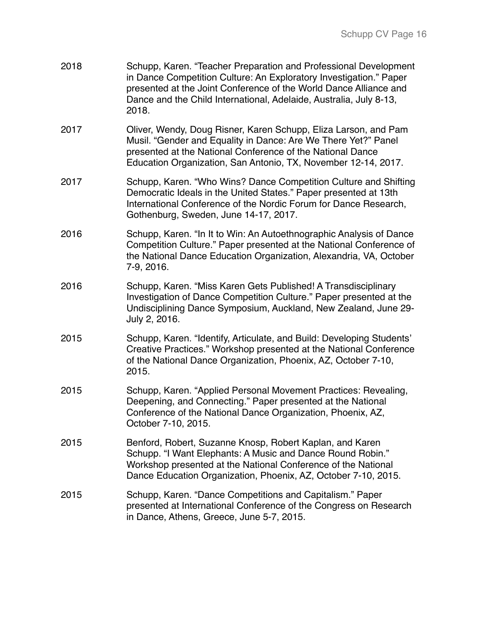| 2018 | Schupp, Karen. "Teacher Preparation and Professional Development<br>in Dance Competition Culture: An Exploratory Investigation." Paper<br>presented at the Joint Conference of the World Dance Alliance and<br>Dance and the Child International, Adelaide, Australia, July 8-13,<br>2018. |
|------|--------------------------------------------------------------------------------------------------------------------------------------------------------------------------------------------------------------------------------------------------------------------------------------------|
| 2017 | Oliver, Wendy, Doug Risner, Karen Schupp, Eliza Larson, and Pam<br>Musil. "Gender and Equality in Dance: Are We There Yet?" Panel<br>presented at the National Conference of the National Dance<br>Education Organization, San Antonio, TX, November 12-14, 2017.                          |
| 2017 | Schupp, Karen. "Who Wins? Dance Competition Culture and Shifting<br>Democratic Ideals in the United States." Paper presented at 13th<br>International Conference of the Nordic Forum for Dance Research,<br>Gothenburg, Sweden, June 14-17, 2017.                                          |
| 2016 | Schupp, Karen. "In It to Win: An Autoethnographic Analysis of Dance<br>Competition Culture." Paper presented at the National Conference of<br>the National Dance Education Organization, Alexandria, VA, October<br>7-9, 2016.                                                             |
| 2016 | Schupp, Karen. "Miss Karen Gets Published! A Transdisciplinary<br>Investigation of Dance Competition Culture." Paper presented at the<br>Undisciplining Dance Symposium, Auckland, New Zealand, June 29-<br>July 2, 2016.                                                                  |
| 2015 | Schupp, Karen. "Identify, Articulate, and Build: Developing Students'<br>Creative Practices." Workshop presented at the National Conference<br>of the National Dance Organization, Phoenix, AZ, October 7-10,<br>2015.                                                                     |
| 2015 | Schupp, Karen. "Applied Personal Movement Practices: Revealing,<br>Deepening, and Connecting." Paper presented at the National<br>Conference of the National Dance Organization, Phoenix, AZ,<br>October 7-10, 2015.                                                                       |
| 2015 | Benford, Robert, Suzanne Knosp, Robert Kaplan, and Karen<br>Schupp. "I Want Elephants: A Music and Dance Round Robin."<br>Workshop presented at the National Conference of the National<br>Dance Education Organization, Phoenix, AZ, October 7-10, 2015.                                  |
| 2015 | Schupp, Karen. "Dance Competitions and Capitalism." Paper<br>presented at International Conference of the Congress on Research<br>in Dance, Athens, Greece, June 5-7, 2015.                                                                                                                |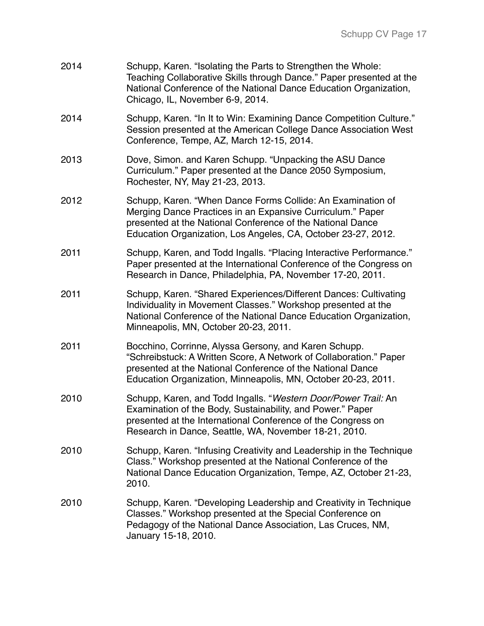| 2014 | Schupp, Karen. "Isolating the Parts to Strengthen the Whole:<br>Teaching Collaborative Skills through Dance." Paper presented at the<br>National Conference of the National Dance Education Organization,<br>Chicago, IL, November 6-9, 2014.              |
|------|------------------------------------------------------------------------------------------------------------------------------------------------------------------------------------------------------------------------------------------------------------|
| 2014 | Schupp, Karen. "In It to Win: Examining Dance Competition Culture."<br>Session presented at the American College Dance Association West<br>Conference, Tempe, AZ, March 12-15, 2014.                                                                       |
| 2013 | Dove, Simon. and Karen Schupp. "Unpacking the ASU Dance<br>Curriculum." Paper presented at the Dance 2050 Symposium,<br>Rochester, NY, May 21-23, 2013.                                                                                                    |
| 2012 | Schupp, Karen. "When Dance Forms Collide: An Examination of<br>Merging Dance Practices in an Expansive Curriculum." Paper<br>presented at the National Conference of the National Dance<br>Education Organization, Los Angeles, CA, October 23-27, 2012.   |
| 2011 | Schupp, Karen, and Todd Ingalls. "Placing Interactive Performance."<br>Paper presented at the International Conference of the Congress on<br>Research in Dance, Philadelphia, PA, November 17-20, 2011.                                                    |
| 2011 | Schupp, Karen. "Shared Experiences/Different Dances: Cultivating<br>Individuality in Movement Classes." Workshop presented at the<br>National Conference of the National Dance Education Organization,<br>Minneapolis, MN, October 20-23, 2011.            |
| 2011 | Bocchino, Corrinne, Alyssa Gersony, and Karen Schupp.<br>"Schreibstuck: A Written Score, A Network of Collaboration." Paper<br>presented at the National Conference of the National Dance<br>Education Organization, Minneapolis, MN, October 20-23, 2011. |
| 2010 | Schupp, Karen, and Todd Ingalls. "Western Door/Power Trail: An<br>Examination of the Body, Sustainability, and Power." Paper<br>presented at the International Conference of the Congress on<br>Research in Dance, Seattle, WA, November 18-21, 2010.      |
| 2010 | Schupp, Karen. "Infusing Creativity and Leadership in the Technique<br>Class." Workshop presented at the National Conference of the<br>National Dance Education Organization, Tempe, AZ, October 21-23,<br>2010.                                           |
| 2010 | Schupp, Karen. "Developing Leadership and Creativity in Technique<br>Classes." Workshop presented at the Special Conference on<br>Pedagogy of the National Dance Association, Las Cruces, NM,<br>January 15-18, 2010.                                      |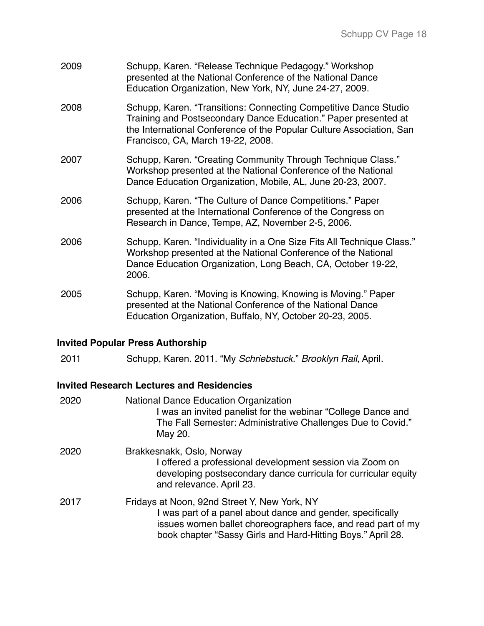| 2009 | Schupp, Karen. "Release Technique Pedagogy." Workshop<br>presented at the National Conference of the National Dance<br>Education Organization, New York, NY, June 24-27, 2009.                                                                   |
|------|--------------------------------------------------------------------------------------------------------------------------------------------------------------------------------------------------------------------------------------------------|
| 2008 | Schupp, Karen. "Transitions: Connecting Competitive Dance Studio<br>Training and Postsecondary Dance Education." Paper presented at<br>the International Conference of the Popular Culture Association, San<br>Francisco, CA, March 19-22, 2008. |
| 2007 | Schupp, Karen. "Creating Community Through Technique Class."<br>Workshop presented at the National Conference of the National<br>Dance Education Organization, Mobile, AL, June 20-23, 2007.                                                     |
| 2006 | Schupp, Karen. "The Culture of Dance Competitions." Paper<br>presented at the International Conference of the Congress on<br>Research in Dance, Tempe, AZ, November 2-5, 2006.                                                                   |
| 2006 | Schupp, Karen. "Individuality in a One Size Fits All Technique Class."<br>Workshop presented at the National Conference of the National<br>Dance Education Organization, Long Beach, CA, October 19-22,<br>2006.                                 |
| 2005 | Schupp, Karen. "Moving is Knowing, Knowing is Moving." Paper<br>presented at the National Conference of the National Dance<br>Education Organization, Buffalo, NY, October 20-23, 2005.                                                          |

# **Invited Popular Press Authorship**

2011 Schupp, Karen. 2011. "My *Schriebstuck*." *Brooklyn Rail*, April.

# **Invited Research Lectures and Residencies**

| 2020 | <b>National Dance Education Organization</b><br>I was an invited panelist for the webinar "College Dance and<br>The Fall Semester: Administrative Challenges Due to Covid."<br>May 20.                                                    |
|------|-------------------------------------------------------------------------------------------------------------------------------------------------------------------------------------------------------------------------------------------|
| 2020 | Brakkesnakk, Oslo, Norway<br>I offered a professional development session via Zoom on<br>developing postsecondary dance curricula for curricular equity<br>and relevance. April 23.                                                       |
| 2017 | Fridays at Noon, 92nd Street Y, New York, NY<br>I was part of a panel about dance and gender, specifically<br>issues women ballet choreographers face, and read part of my<br>book chapter "Sassy Girls and Hard-Hitting Boys." April 28. |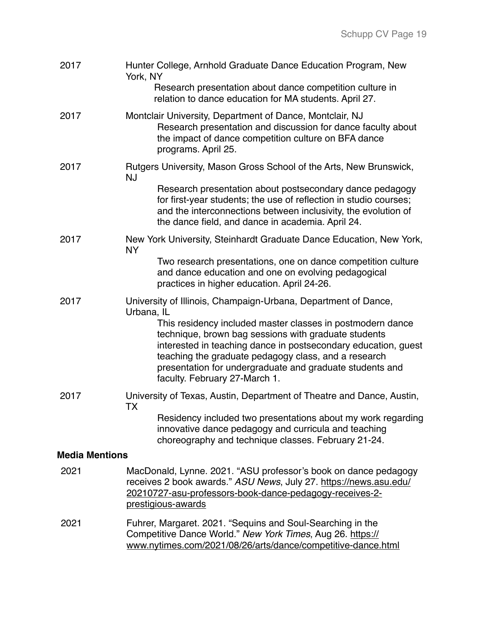| 2017                  | Hunter College, Arnhold Graduate Dance Education Program, New<br>York, NY                                                                                                                                                                                                                                                                 |
|-----------------------|-------------------------------------------------------------------------------------------------------------------------------------------------------------------------------------------------------------------------------------------------------------------------------------------------------------------------------------------|
|                       | Research presentation about dance competition culture in<br>relation to dance education for MA students. April 27.                                                                                                                                                                                                                        |
| 2017                  | Montclair University, Department of Dance, Montclair, NJ<br>Research presentation and discussion for dance faculty about<br>the impact of dance competition culture on BFA dance<br>programs. April 25.                                                                                                                                   |
| 2017                  | Rutgers University, Mason Gross School of the Arts, New Brunswick,<br><b>NJ</b>                                                                                                                                                                                                                                                           |
|                       | Research presentation about postsecondary dance pedagogy<br>for first-year students; the use of reflection in studio courses;<br>and the interconnections between inclusivity, the evolution of<br>the dance field, and dance in academia. April 24.                                                                                      |
| 2017                  | New York University, Steinhardt Graduate Dance Education, New York,<br><b>NY</b>                                                                                                                                                                                                                                                          |
|                       | Two research presentations, one on dance competition culture<br>and dance education and one on evolving pedagogical<br>practices in higher education. April 24-26.                                                                                                                                                                        |
| 2017                  | University of Illinois, Champaign-Urbana, Department of Dance,<br>Urbana, IL                                                                                                                                                                                                                                                              |
|                       | This residency included master classes in postmodern dance<br>technique, brown bag sessions with graduate students<br>interested in teaching dance in postsecondary education, guest<br>teaching the graduate pedagogy class, and a research<br>presentation for undergraduate and graduate students and<br>faculty. February 27-March 1. |
| 2017                  | University of Texas, Austin, Department of Theatre and Dance, Austin,<br>TX                                                                                                                                                                                                                                                               |
|                       | Residency included two presentations about my work regarding<br>innovative dance pedagogy and curricula and teaching<br>choreography and technique classes. February 21-24.                                                                                                                                                               |
| <b>Media Mentions</b> |                                                                                                                                                                                                                                                                                                                                           |
| 2021                  | MacDonald, Lynne. 2021. "ASU professor's book on dance pedagogy<br>receives 2 book awards." ASU News, July 27. https://news.asu.edu/<br>20210727-asu-professors-book-dance-pedagogy-receives-2-<br>prestigious-awards                                                                                                                     |
| 2021                  | Fuhrer, Margaret. 2021. "Sequins and Soul-Searching in the<br>Competitive Dance World." New York Times, Aug 26. https://<br>www.nytimes.com/2021/08/26/arts/dance/competitive-dance.html                                                                                                                                                  |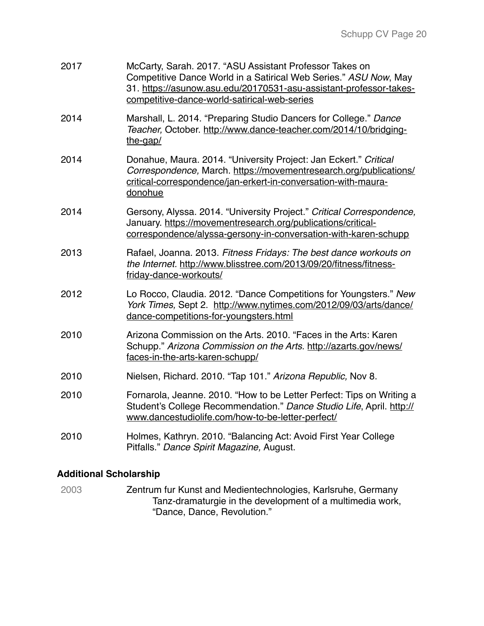| 2017 | McCarty, Sarah. 2017. "ASU Assistant Professor Takes on<br>Competitive Dance World in a Satirical Web Series." ASU Now, May<br>31. https://asunow.asu.edu/20170531-asu-assistant-professor-takes-<br>competitive-dance-world-satirical-web-series |
|------|---------------------------------------------------------------------------------------------------------------------------------------------------------------------------------------------------------------------------------------------------|
| 2014 | Marshall, L. 2014. "Preparing Studio Dancers for College." Dance<br>Teacher, October. http://www.dance-teacher.com/2014/10/bridging-<br>the-gap/                                                                                                  |
| 2014 | Donahue, Maura. 2014. "University Project: Jan Eckert." Critical<br>Correspondence, March. https://movementresearch.org/publications/<br>critical-correspondence/jan-erkert-in-conversation-with-maura-<br>donohue                                |
| 2014 | Gersony, Alyssa. 2014. "University Project." Critical Correspondence,<br>January. https://movementresearch.org/publications/critical-<br>correspondence/alyssa-gersony-in-conversation-with-karen-schupp                                          |
| 2013 | Rafael, Joanna. 2013. Fitness Fridays: The best dance workouts on<br>the Internet. http://www.blisstree.com/2013/09/20/fitness/fitness-<br>friday-dance-workouts/                                                                                 |
| 2012 | Lo Rocco, Claudia. 2012. "Dance Competitions for Youngsters." New<br>York Times, Sept 2. http://www.nytimes.com/2012/09/03/arts/dance/<br>dance-competitions-for-youngsters.html                                                                  |
| 2010 | Arizona Commission on the Arts. 2010. "Faces in the Arts: Karen<br>Schupp." Arizona Commission on the Arts. http://azarts.gov/news/<br>faces-in-the-arts-karen-schupp/                                                                            |
| 2010 | Nielsen, Richard. 2010. "Tap 101." Arizona Republic, Nov 8.                                                                                                                                                                                       |
| 2010 | Fornarola, Jeanne. 2010. "How to be Letter Perfect: Tips on Writing a<br>Student's College Recommendation." Dance Studio Life, April. http://<br>www.dancestudiolife.com/how-to-be-letter-perfect/                                                |
| 2010 | Holmes, Kathryn. 2010. "Balancing Act: Avoid First Year College<br>Pitfalls." Dance Spirit Magazine, August.                                                                                                                                      |

## **Additional Scholarship**

2003 Zentrum fur Kunst and Medientechnologies, Karlsruhe, Germany Tanz-dramaturgie in the development of a multimedia work, "Dance, Dance, Revolution."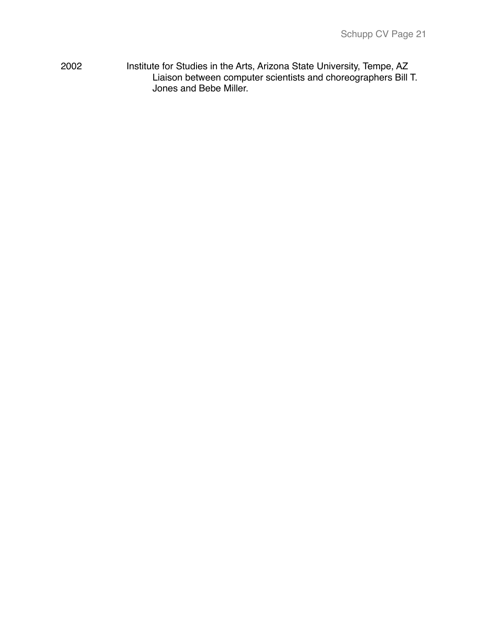2002 Institute for Studies in the Arts, Arizona State University, Tempe, AZ Liaison between computer scientists and choreographers Bill T. Jones and Bebe Miller.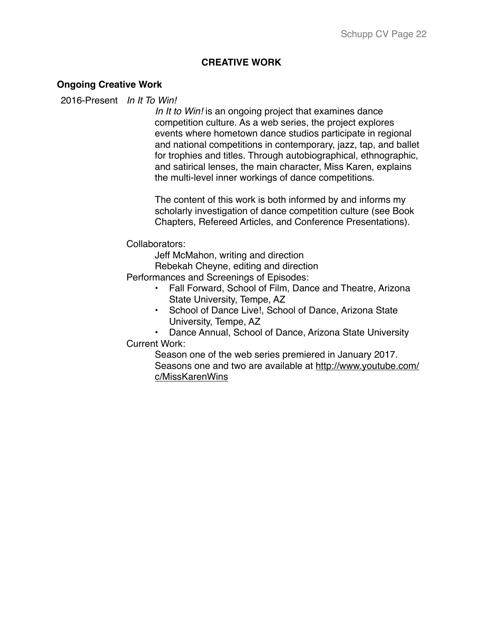### **CREATIVE WORK**

#### **Ongoing Creative Work**

#### 2016-Present *In It To Win!*

*In It to Win!* is an ongoing project that examines dance competition culture. As a web series, the project explores events where hometown dance studios participate in regional and national competitions in contemporary, jazz, tap, and ballet for trophies and titles. Through autobiographical, ethnographic, and satirical lenses, the main character, Miss Karen, explains the multi-level inner workings of dance competitions.

The content of this work is both informed by and informs my scholarly investigation of dance competition culture (see Book Chapters, Refereed Articles, and Conference Presentations).

#### Collaborators:

Jeff McMahon, writing and direction

Rebekah Cheyne, editing and direction

Performances and Screenings of Episodes:

- Fall Forward, School of Film, Dance and Theatre, Arizona State University, Tempe, AZ
- School of Dance Live!, School of Dance, Arizona State University, Tempe, AZ

• Dance Annual, School of Dance, Arizona State University Current Work:

Season one of the web series premiered in January 2017. [Seasons one and two are available at http://www.youtube.com/](http://www.youtube.com/c/MissKarenWins) c/MissKarenWins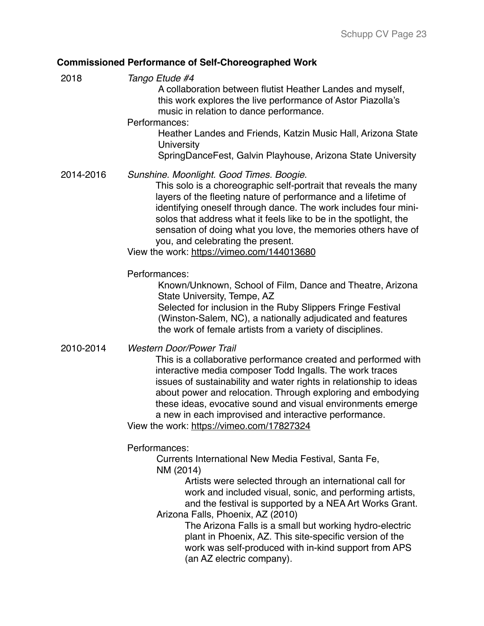# **Commissioned Performance of Self-Choreographed Work**

| 2018      | Tango Etude #4<br>A collaboration between flutist Heather Landes and myself,<br>this work explores the live performance of Astor Piazolla's<br>music in relation to dance performance.<br>Performances:<br>Heather Landes and Friends, Katzin Music Hall, Arizona State<br>University<br>SpringDanceFest, Galvin Playhouse, Arizona State University                                                                                                                                    |
|-----------|-----------------------------------------------------------------------------------------------------------------------------------------------------------------------------------------------------------------------------------------------------------------------------------------------------------------------------------------------------------------------------------------------------------------------------------------------------------------------------------------|
| 2014-2016 | Sunshine. Moonlight. Good Times. Boogie.<br>This solo is a choreographic self-portrait that reveals the many<br>layers of the fleeting nature of performance and a lifetime of<br>identifying oneself through dance. The work includes four mini-<br>solos that address what it feels like to be in the spotlight, the<br>sensation of doing what you love, the memories others have of<br>you, and celebrating the present.<br>View the work: https://vimeo.com/144013680              |
|           | Performances:<br>Known/Unknown, School of Film, Dance and Theatre, Arizona<br>State University, Tempe, AZ<br>Selected for inclusion in the Ruby Slippers Fringe Festival<br>(Winston-Salem, NC), a nationally adjudicated and features<br>the work of female artists from a variety of disciplines.                                                                                                                                                                                     |
| 2010-2014 | <b>Western Door/Power Trail</b><br>This is a collaborative performance created and performed with<br>interactive media composer Todd Ingalls. The work traces<br>issues of sustainability and water rights in relationship to ideas<br>about power and relocation. Through exploring and embodying<br>these ideas, evocative sound and visual environments emerge<br>a new in each improvised and interactive performance.<br>View the work: https://vimeo.com/17827324                 |
|           | Performances:<br>Currents International New Media Festival, Santa Fe,<br>NM (2014)<br>Artists were selected through an international call for<br>work and included visual, sonic, and performing artists,<br>and the festival is supported by a NEA Art Works Grant.<br>Arizona Falls, Phoenix, AZ (2010)<br>The Arizona Falls is a small but working hydro-electric<br>plant in Phoenix, AZ. This site-specific version of the<br>work was self-produced with in-kind support from APS |

(an AZ electric company).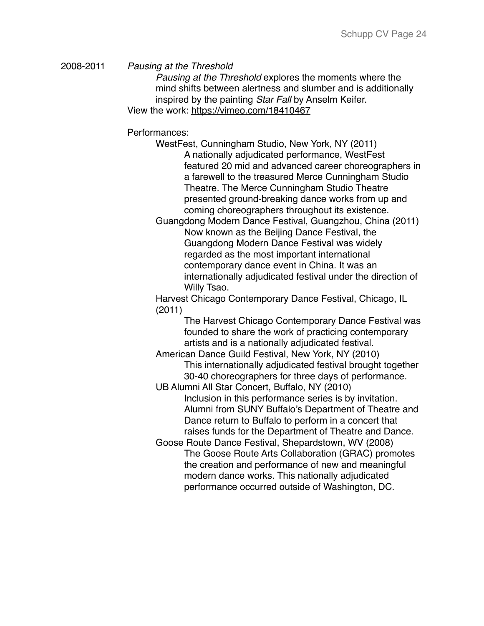2008-2011 *Pausing at the Threshold*

*Pausing at the Threshold* explores the moments where the mind shifts between alertness and slumber and is additionally inspired by the painting *Star Fall* by Anselm Keifer. View the work:<https://vimeo.com/18410467>

Performances:

WestFest, Cunningham Studio, New York, NY (2011) A nationally adjudicated performance, WestFest featured 20 mid and advanced career choreographers in a farewell to the treasured Merce Cunningham Studio Theatre. The Merce Cunningham Studio Theatre presented ground-breaking dance works from up and coming choreographers throughout its existence.

Guangdong Modern Dance Festival, Guangzhou, China (2011) Now known as the Beijing Dance Festival, the Guangdong Modern Dance Festival was widely regarded as the most important international contemporary dance event in China. It was an internationally adjudicated festival under the direction of Willy Tsao.

Harvest Chicago Contemporary Dance Festival, Chicago, IL (2011)

> The Harvest Chicago Contemporary Dance Festival was founded to share the work of practicing contemporary artists and is a nationally adjudicated festival.

American Dance Guild Festival, New York, NY (2010) This internationally adjudicated festival brought together 30-40 choreographers for three days of performance.

UB Alumni All Star Concert, Buffalo, NY (2010) Inclusion in this performance series is by invitation. Alumni from SUNY Buffalo's Department of Theatre and Dance return to Buffalo to perform in a concert that raises funds for the Department of Theatre and Dance.

Goose Route Dance Festival, Shepardstown, WV (2008) The Goose Route Arts Collaboration (GRAC) promotes the creation and performance of new and meaningful modern dance works. This nationally adjudicated performance occurred outside of Washington, DC.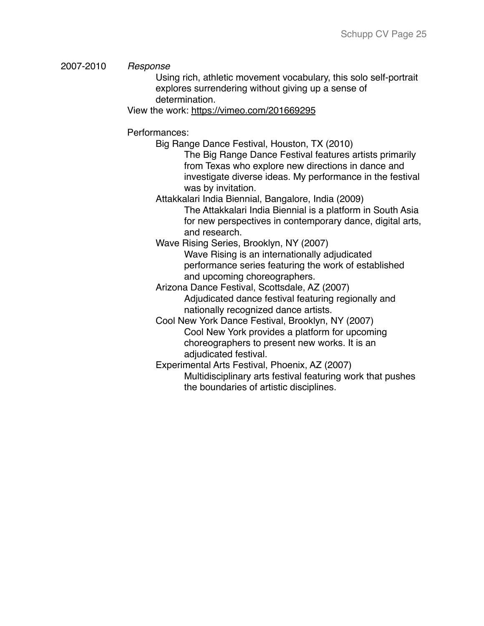#### 2007-2010 *Response*

Using rich, athletic movement vocabulary, this solo self-portrait explores surrendering without giving up a sense of determination.

View the work:<https://vimeo.com/201669295>

#### Performances:

Big Range Dance Festival, Houston, TX (2010)

The Big Range Dance Festival features artists primarily from Texas who explore new directions in dance and investigate diverse ideas. My performance in the festival was by invitation.

Attakkalari India Biennial, Bangalore, India (2009)

The Attakkalari India Biennial is a platform in South Asia for new perspectives in contemporary dance, digital arts, and research.

Wave Rising Series, Brooklyn, NY (2007) Wave Rising is an internationally adjudicated performance series featuring the work of established and upcoming choreographers.

Arizona Dance Festival, Scottsdale, AZ (2007) Adjudicated dance festival featuring regionally and nationally recognized dance artists.

Cool New York Dance Festival, Brooklyn, NY (2007) Cool New York provides a platform for upcoming choreographers to present new works. It is an adjudicated festival.

Experimental Arts Festival, Phoenix, AZ (2007) Multidisciplinary arts festival featuring work that pushes the boundaries of artistic disciplines.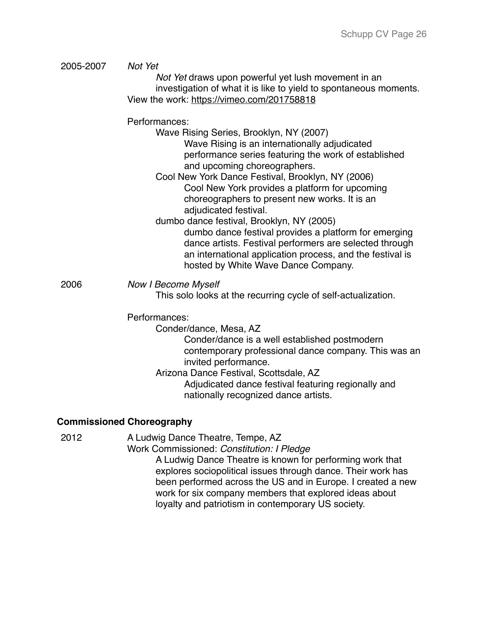| 2005-2007 | Not Yet<br>Not Yet draws upon powerful yet lush movement in an<br>investigation of what it is like to yield to spontaneous moments.<br>View the work: https://vimeo.com/201758818                                                                                                                                                                                                                                                                                                                                                                                                                                                                       |
|-----------|---------------------------------------------------------------------------------------------------------------------------------------------------------------------------------------------------------------------------------------------------------------------------------------------------------------------------------------------------------------------------------------------------------------------------------------------------------------------------------------------------------------------------------------------------------------------------------------------------------------------------------------------------------|
|           | Performances:<br>Wave Rising Series, Brooklyn, NY (2007)<br>Wave Rising is an internationally adjudicated<br>performance series featuring the work of established<br>and upcoming choreographers.<br>Cool New York Dance Festival, Brooklyn, NY (2006)<br>Cool New York provides a platform for upcoming<br>choreographers to present new works. It is an<br>adjudicated festival.<br>dumbo dance festival, Brooklyn, NY (2005)<br>dumbo dance festival provides a platform for emerging<br>dance artists. Festival performers are selected through<br>an international application process, and the festival is<br>hosted by White Wave Dance Company. |
| 2006      | <b>Now I Become Myself</b><br>This solo looks at the recurring cycle of self-actualization.                                                                                                                                                                                                                                                                                                                                                                                                                                                                                                                                                             |
|           | Performances:<br>Conder/dance, Mesa, AZ<br>Conder/dance is a well established postmodern<br>contemporary professional dance company. This was an<br>invited performance.<br>Arizona Dance Festival, Scottsdale, AZ<br>Adjudicated dance festival featuring regionally and<br>nationally recognized dance artists.                                                                                                                                                                                                                                                                                                                                       |
|           | <b>Commissioned Choreography</b>                                                                                                                                                                                                                                                                                                                                                                                                                                                                                                                                                                                                                        |
| 2012      | A Ludwig Dance Theatre, Tempe, AZ<br>Work Commissioned: Constitution: I Pledge<br>A Ludwig Dance Theatre is known for performing work that<br>explores sociopolitical issues through dance. Their work has<br>been performed across the US and in Europe. I created a new                                                                                                                                                                                                                                                                                                                                                                               |

work for six company members that explored ideas about loyalty and patriotism in contemporary US society.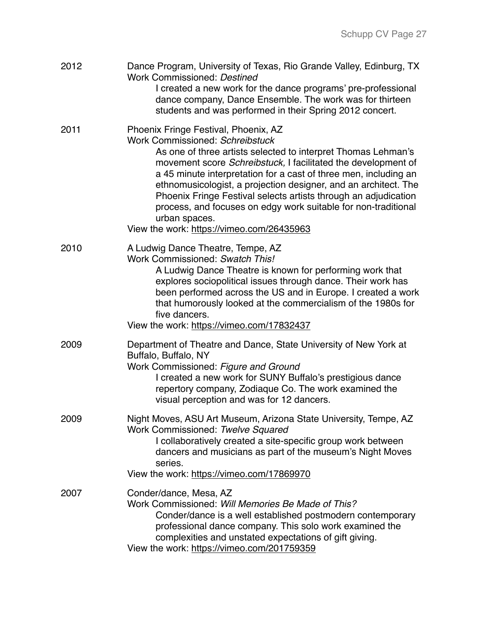| 2012 | Dance Program, University of Texas, Rio Grande Valley, Edinburg, TX<br>Work Commissioned: Destined<br>I created a new work for the dance programs' pre-professional<br>dance company, Dance Ensemble. The work was for thirteen<br>students and was performed in their Spring 2012 concert.                                                                                                                                                                                                                                                                |
|------|------------------------------------------------------------------------------------------------------------------------------------------------------------------------------------------------------------------------------------------------------------------------------------------------------------------------------------------------------------------------------------------------------------------------------------------------------------------------------------------------------------------------------------------------------------|
| 2011 | Phoenix Fringe Festival, Phoenix, AZ<br><b>Work Commissioned: Schreibstuck</b><br>As one of three artists selected to interpret Thomas Lehman's<br>movement score Schreibstuck, I facilitated the development of<br>a 45 minute interpretation for a cast of three men, including an<br>ethnomusicologist, a projection designer, and an architect. The<br>Phoenix Fringe Festival selects artists through an adjudication<br>process, and focuses on edgy work suitable for non-traditional<br>urban spaces.<br>View the work: https://vimeo.com/26435963 |
| 2010 | A Ludwig Dance Theatre, Tempe, AZ<br>Work Commissioned: Swatch This!<br>A Ludwig Dance Theatre is known for performing work that<br>explores sociopolitical issues through dance. Their work has<br>been performed across the US and in Europe. I created a work<br>that humorously looked at the commercialism of the 1980s for<br>five dancers.<br>View the work: https://vimeo.com/17832437                                                                                                                                                             |
| 2009 | Department of Theatre and Dance, State University of New York at<br>Buffalo, Buffalo, NY<br>Work Commissioned: Figure and Ground<br>I created a new work for SUNY Buffalo's prestigious dance<br>repertory company, Zodiaque Co. The work examined the<br>visual perception and was for 12 dancers.                                                                                                                                                                                                                                                        |
| 2009 | Night Moves, ASU Art Museum, Arizona State University, Tempe, AZ<br>Work Commissioned: Twelve Squared<br>I collaboratively created a site-specific group work between<br>dancers and musicians as part of the museum's Night Moves<br>series.<br>View the work: https://vimeo.com/17869970                                                                                                                                                                                                                                                                 |
| 2007 | Conder/dance, Mesa, AZ<br>Work Commissioned: Will Memories Be Made of This?<br>Conder/dance is a well established postmodern contemporary<br>professional dance company. This solo work examined the<br>complexities and unstated expectations of gift giving.<br>View the work: https://vimeo.com/201759359                                                                                                                                                                                                                                               |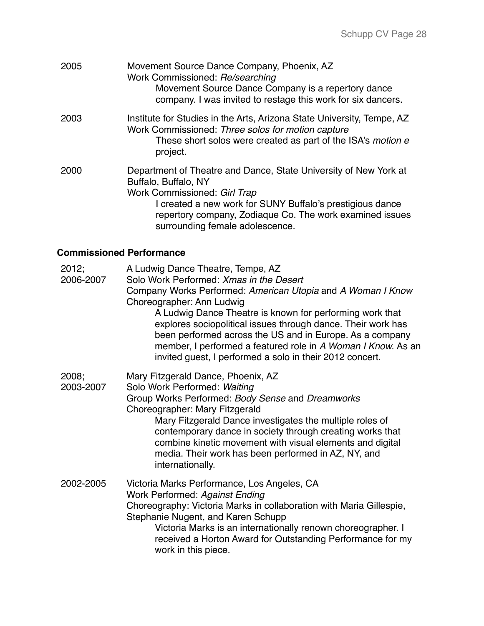| 2005 | Movement Source Dance Company, Phoenix, AZ<br>Work Commissioned: Re/searching<br>Movement Source Dance Company is a repertory dance<br>company. I was invited to restage this work for six dancers.                                                                                  |
|------|--------------------------------------------------------------------------------------------------------------------------------------------------------------------------------------------------------------------------------------------------------------------------------------|
| 2003 | Institute for Studies in the Arts, Arizona State University, Tempe, AZ<br>Work Commissioned: Three solos for motion capture<br>These short solos were created as part of the ISA's motion e<br>project.                                                                              |
| 2000 | Department of Theatre and Dance, State University of New York at<br>Buffalo, Buffalo, NY<br>Work Commissioned: Girl Trap<br>I created a new work for SUNY Buffalo's prestigious dance<br>repertory company, Zodiaque Co. The work examined issues<br>surrounding female adolescence. |

### **Commissioned Performance**

- 2012; A Ludwig Dance Theatre, Tempe, AZ
- 2006-2007 Solo Work Performed: *Xmas in the Desert*
	- Company Works Performed: *American Utopia* and *A Woman I Know* Choreographer: Ann Ludwig

A Ludwig Dance Theatre is known for performing work that explores sociopolitical issues through dance. Their work has been performed across the US and in Europe. As a company member, I performed a featured role in *A Woman I Know.* As an invited guest, I performed a solo in their 2012 concert.

2008; 2003-2007 Mary Fitzgerald Dance, Phoenix, AZ Solo Work Performed: *Waiting* Group Works Performed: *Body Sense* and *Dreamworks* Choreographer: Mary Fitzgerald Mary Fitzgerald Dance investigates the multiple roles of contemporary dance in society through creating works that combine kinetic movement with visual elements and digital media. Their work has been performed in AZ, NY, and internationally. 2002-2005 Victoria Marks Performance, Los Angeles, CA Work Performed: *Against Ending* Choreography: Victoria Marks in collaboration with Maria Gillespie, Stephanie Nugent, and Karen Schupp Victoria Marks is an internationally renown choreographer. I received a Horton Award for Outstanding Performance for my

work in this piece.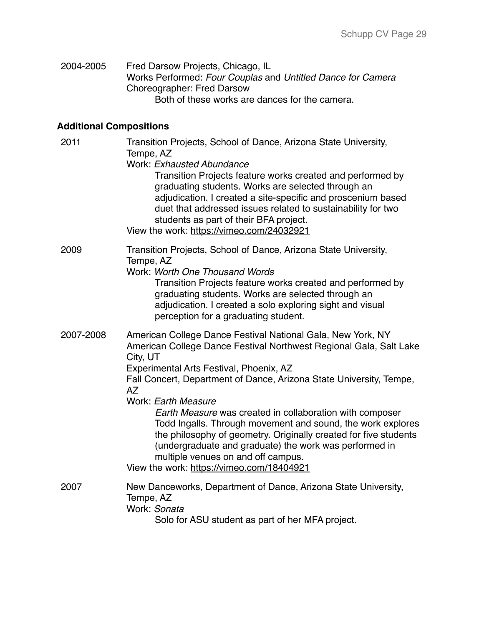| 2004-2005 | Fred Darsow Projects, Chicago, IL                           |
|-----------|-------------------------------------------------------------|
|           | Works Performed: Four Couplas and Untitled Dance for Camera |
|           | Choreographer: Fred Darsow                                  |
|           | Both of these works are dances for the camera.              |

# **Additional Compositions**

| 2011      | Transition Projects, School of Dance, Arizona State University,<br>Tempe, AZ<br>Work: Exhausted Abundance<br>Transition Projects feature works created and performed by<br>graduating students. Works are selected through an<br>adjudication. I created a site-specific and proscenium based<br>duet that addressed issues related to sustainability for two<br>students as part of their BFA project.<br>View the work: https://vimeo.com/24032921                                                                                                                                                                                     |
|-----------|------------------------------------------------------------------------------------------------------------------------------------------------------------------------------------------------------------------------------------------------------------------------------------------------------------------------------------------------------------------------------------------------------------------------------------------------------------------------------------------------------------------------------------------------------------------------------------------------------------------------------------------|
| 2009      | Transition Projects, School of Dance, Arizona State University,<br>Tempe, AZ<br>Work: Worth One Thousand Words<br>Transition Projects feature works created and performed by<br>graduating students. Works are selected through an<br>adjudication. I created a solo exploring sight and visual<br>perception for a graduating student.                                                                                                                                                                                                                                                                                                  |
| 2007-2008 | American College Dance Festival National Gala, New York, NY<br>American College Dance Festival Northwest Regional Gala, Salt Lake<br>City, UT<br>Experimental Arts Festival, Phoenix, AZ<br>Fall Concert, Department of Dance, Arizona State University, Tempe,<br>AZ<br>Work: Earth Measure<br>Earth Measure was created in collaboration with composer<br>Todd Ingalls. Through movement and sound, the work explores<br>the philosophy of geometry. Originally created for five students<br>(undergraduate and graduate) the work was performed in<br>multiple venues on and off campus.<br>View the work: https://vimeo.com/18404921 |
| 2007      | New Danceworks, Department of Dance, Arizona State University,<br>Tempe, AZ<br>Work: Sonata<br>Solo for ASU student as part of her MFA project.                                                                                                                                                                                                                                                                                                                                                                                                                                                                                          |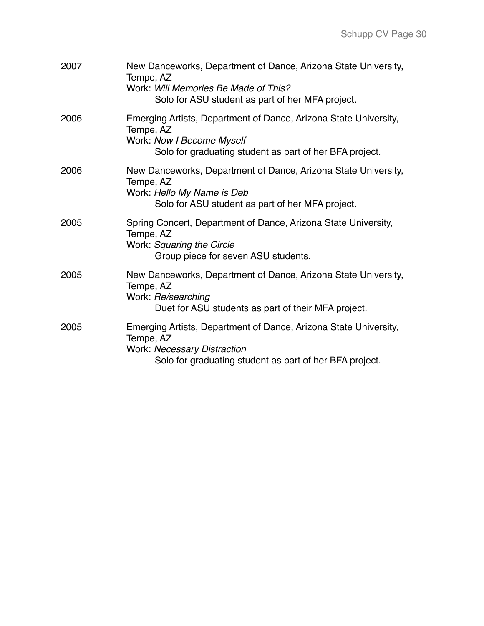| 2007 | New Danceworks, Department of Dance, Arizona State University,<br>Tempe, AZ<br>Work: Will Memories Be Made of This?<br>Solo for ASU student as part of her MFA project.        |
|------|--------------------------------------------------------------------------------------------------------------------------------------------------------------------------------|
| 2006 | Emerging Artists, Department of Dance, Arizona State University,<br>Tempe, AZ<br>Work: Now I Become Myself<br>Solo for graduating student as part of her BFA project.          |
| 2006 | New Danceworks, Department of Dance, Arizona State University,<br>Tempe, AZ<br>Work: Hello My Name is Deb<br>Solo for ASU student as part of her MFA project.                  |
| 2005 | Spring Concert, Department of Dance, Arizona State University,<br>Tempe, AZ<br>Work: Squaring the Circle<br>Group piece for seven ASU students.                                |
| 2005 | New Danceworks, Department of Dance, Arizona State University,<br>Tempe, AZ<br>Work: Re/searching<br>Duet for ASU students as part of their MFA project.                       |
| 2005 | Emerging Artists, Department of Dance, Arizona State University,<br>Tempe, AZ<br><b>Work: Necessary Distraction</b><br>Solo for graduating student as part of her BFA project. |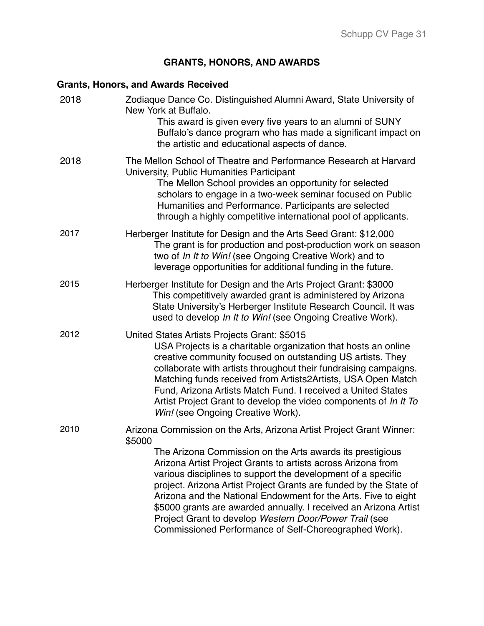# **GRANTS, HONORS, AND AWARDS**

# **Grants, Honors, and Awards Received**

| 2018 | Zodiaque Dance Co. Distinguished Alumni Award, State University of<br>New York at Buffalo.<br>This award is given every five years to an alumni of SUNY<br>Buffalo's dance program who has made a significant impact on<br>the artistic and educational aspects of dance.                                                                                                                                                                                                                                               |
|------|-------------------------------------------------------------------------------------------------------------------------------------------------------------------------------------------------------------------------------------------------------------------------------------------------------------------------------------------------------------------------------------------------------------------------------------------------------------------------------------------------------------------------|
| 2018 | The Mellon School of Theatre and Performance Research at Harvard<br>University, Public Humanities Participant<br>The Mellon School provides an opportunity for selected<br>scholars to engage in a two-week seminar focused on Public<br>Humanities and Performance. Participants are selected<br>through a highly competitive international pool of applicants.                                                                                                                                                        |
| 2017 | Herberger Institute for Design and the Arts Seed Grant: \$12,000<br>The grant is for production and post-production work on season<br>two of In It to Win! (see Ongoing Creative Work) and to<br>leverage opportunities for additional funding in the future.                                                                                                                                                                                                                                                           |
| 2015 | Herberger Institute for Design and the Arts Project Grant: \$3000<br>This competitively awarded grant is administered by Arizona<br>State University's Herberger Institute Research Council. It was<br>used to develop In It to Win! (see Ongoing Creative Work).                                                                                                                                                                                                                                                       |
| 2012 | United States Artists Projects Grant: \$5015<br>USA Projects is a charitable organization that hosts an online<br>creative community focused on outstanding US artists. They<br>collaborate with artists throughout their fundraising campaigns.<br>Matching funds received from Artists2Artists, USA Open Match<br>Fund, Arizona Artists Match Fund. I received a United States<br>Artist Project Grant to develop the video components of In It To<br>Win! (see Ongoing Creative Work).                               |
| 2010 | Arizona Commission on the Arts, Arizona Artist Project Grant Winner:<br>\$5000                                                                                                                                                                                                                                                                                                                                                                                                                                          |
|      | The Arizona Commission on the Arts awards its prestigious<br>Arizona Artist Project Grants to artists across Arizona from<br>various disciplines to support the development of a specific<br>project. Arizona Artist Project Grants are funded by the State of<br>Arizona and the National Endowment for the Arts. Five to eight<br>\$5000 grants are awarded annually. I received an Arizona Artist<br>Project Grant to develop Western Door/Power Trail (see<br>Commissioned Performance of Self-Choreographed Work). |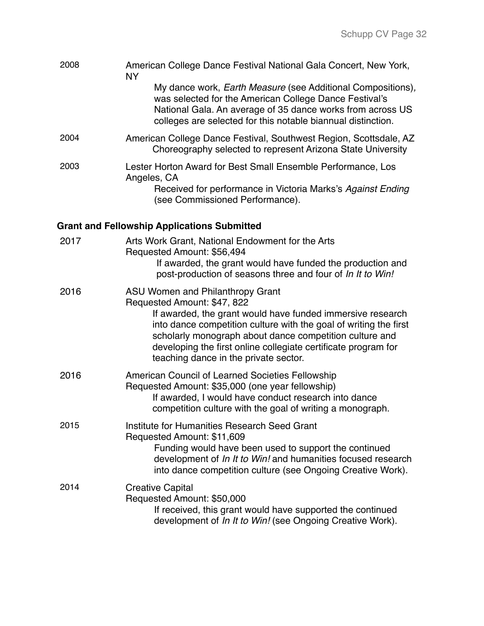| 2008 | American College Dance Festival National Gala Concert, New York,<br><b>NY</b>                                                                                                                                                                              |
|------|------------------------------------------------------------------------------------------------------------------------------------------------------------------------------------------------------------------------------------------------------------|
|      | My dance work, <i>Earth Measure</i> (see Additional Compositions),<br>was selected for the American College Dance Festival's<br>National Gala. An average of 35 dance works from across US<br>colleges are selected for this notable biannual distinction. |
| 2004 | American College Dance Festival, Southwest Region, Scottsdale, AZ<br>Choreography selected to represent Arizona State University                                                                                                                           |
| 2003 | Lester Horton Award for Best Small Ensemble Performance, Los<br>Angeles, CA<br>Received for performance in Victoria Marks's Against Ending                                                                                                                 |
|      | (see Commissioned Performance).                                                                                                                                                                                                                            |
|      | <b>Grant and Fellowship Applications Submitted</b>                                                                                                                                                                                                         |
| 2017 | Arts Work Grant, National Endowment for the Arts                                                                                                                                                                                                           |

Requested Amount: \$56,494 If awarded, the grant would have funded the production and post-production of seasons three and four of *In It to Win!*

| 2016 | ASU Women and Philanthropy Grant                                                                                                                                                                                                        |
|------|-----------------------------------------------------------------------------------------------------------------------------------------------------------------------------------------------------------------------------------------|
|      | Requested Amount: \$47, 822                                                                                                                                                                                                             |
|      | If awarded, the grant would have funded immersive research                                                                                                                                                                              |
|      | into dance competition culture with the goal of writing the first<br>scholarly monograph about dance competition culture and<br>developing the first online collegiate certificate program for<br>teaching dance in the private sector. |
| 2016 | American Council of Learned Societies Fellowship<br>Requested Amount: \$35,000 (one year fellowship)                                                                                                                                    |

competition culture with the goal of writing a monograph. 2015 Institute for Humanities Research Seed Grant Requested Amount: \$11,609 Funding would have been used to support the continued development of *In It to Win!* and humanities focused research into dance competition culture (see Ongoing Creative Work). 2014 Creative Capital

If awarded, I would have conduct research into dance

Requested Amount: \$50,000 If received, this grant would have supported the continued development of *In It to Win!* (see Ongoing Creative Work).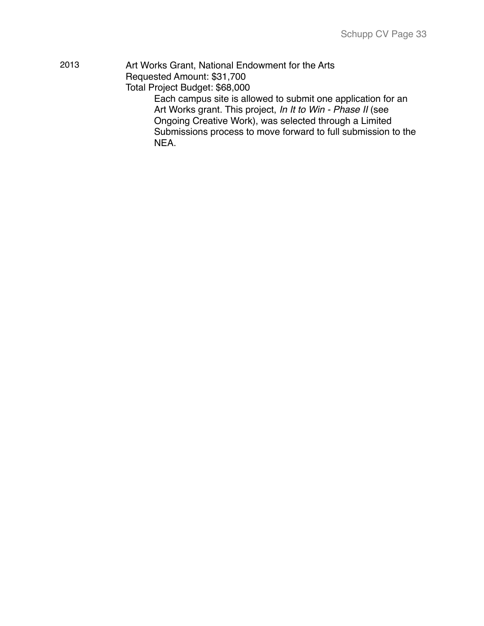| 2013 | Art Works Grant, National Endowment for the Arts              |
|------|---------------------------------------------------------------|
|      | Requested Amount: \$31,700                                    |
|      | Total Project Budget: \$68,000                                |
|      | Each campus site is allowed to submit one application for an  |
|      | Art Works grant. This project, In It to Win - Phase II (see   |
|      | Ongoing Creative Work), was selected through a Limited        |
|      | Submissions process to move forward to full submission to the |
|      | NEA.                                                          |
|      |                                                               |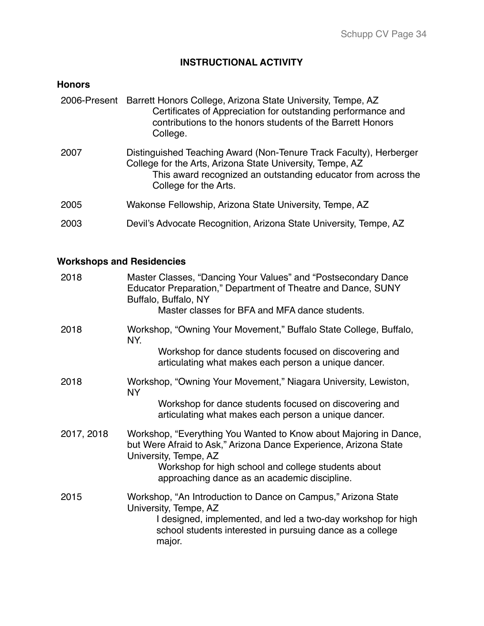# **INSTRUCTIONAL ACTIVITY**

# **Honors**

|      | 2006-Present Barrett Honors College, Arizona State University, Tempe, AZ<br>Certificates of Appreciation for outstanding performance and<br>contributions to the honors students of the Barrett Honors<br>College.        |
|------|---------------------------------------------------------------------------------------------------------------------------------------------------------------------------------------------------------------------------|
| 2007 | Distinguished Teaching Award (Non-Tenure Track Faculty), Herberger<br>College for the Arts, Arizona State University, Tempe, AZ<br>This award recognized an outstanding educator from across the<br>College for the Arts. |
| 2005 | Wakonse Fellowship, Arizona State University, Tempe, AZ                                                                                                                                                                   |
| 2003 | Devil's Advocate Recognition, Arizona State University, Tempe, AZ                                                                                                                                                         |

# **Workshops and Residencies**

| 2018       | Master Classes, "Dancing Your Values" and "Postsecondary Dance<br>Educator Preparation," Department of Theatre and Dance, SUNY<br>Buffalo, Buffalo, NY<br>Master classes for BFA and MFA dance students.                      |
|------------|-------------------------------------------------------------------------------------------------------------------------------------------------------------------------------------------------------------------------------|
| 2018       | Workshop, "Owning Your Movement," Buffalo State College, Buffalo,<br>NY.                                                                                                                                                      |
|            | Workshop for dance students focused on discovering and<br>articulating what makes each person a unique dancer.                                                                                                                |
| 2018       | Workshop, "Owning Your Movement," Niagara University, Lewiston,<br>NY                                                                                                                                                         |
|            | Workshop for dance students focused on discovering and<br>articulating what makes each person a unique dancer.                                                                                                                |
| 2017, 2018 | Workshop, "Everything You Wanted to Know about Majoring in Dance,<br>but Were Afraid to Ask," Arizona Dance Experience, Arizona State<br>University, Tempe, AZ<br>Workshop for high school and college students about         |
|            | approaching dance as an academic discipline.                                                                                                                                                                                  |
| 2015       | Workshop, "An Introduction to Dance on Campus," Arizona State<br>University, Tempe, AZ<br>I designed, implemented, and led a two-day workshop for high<br>school students interested in pursuing dance as a college<br>major. |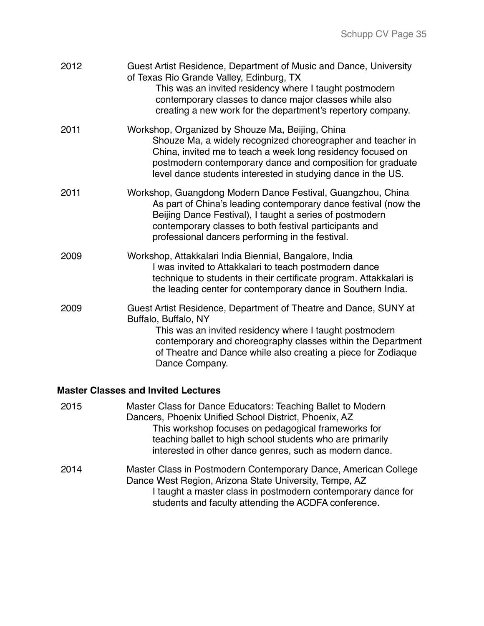| 2012 | Guest Artist Residence, Department of Music and Dance, University<br>of Texas Rio Grande Valley, Edinburg, TX<br>This was an invited residency where I taught postmodern<br>contemporary classes to dance major classes while also<br>creating a new work for the department's repertory company.            |
|------|--------------------------------------------------------------------------------------------------------------------------------------------------------------------------------------------------------------------------------------------------------------------------------------------------------------|
| 2011 | Workshop, Organized by Shouze Ma, Beijing, China<br>Shouze Ma, a widely recognized choreographer and teacher in<br>China, invited me to teach a week long residency focused on<br>postmodern contemporary dance and composition for graduate<br>level dance students interested in studying dance in the US. |
| 2011 | Workshop, Guangdong Modern Dance Festival, Guangzhou, China<br>As part of China's leading contemporary dance festival (now the<br>Beijing Dance Festival), I taught a series of postmodern<br>contemporary classes to both festival participants and<br>professional dancers performing in the festival.     |
| 2009 | Workshop, Attakkalari India Biennial, Bangalore, India<br>I was invited to Attakkalari to teach postmodern dance<br>technique to students in their certificate program. Attakkalari is<br>the leading center for contemporary dance in Southern India.                                                       |
| 2009 | Guest Artist Residence, Department of Theatre and Dance, SUNY at<br>Buffalo, Buffalo, NY<br>This was an invited residency where I taught postmodern<br>contemporary and choreography classes within the Department<br>of Theatre and Dance while also creating a piece for Zodiaque<br>Dance Company.        |

#### **Master Classes and Invited Lectures**

2015 Master Class for Dance Educators: Teaching Ballet to Modern Dancers, Phoenix Unified School District, Phoenix, AZ This workshop focuses on pedagogical frameworks for teaching ballet to high school students who are primarily interested in other dance genres, such as modern dance. 2014 Master Class in Postmodern Contemporary Dance, American College Dance West Region, Arizona State University, Tempe, AZ I taught a master class in postmodern contemporary dance for students and faculty attending the ACDFA conference.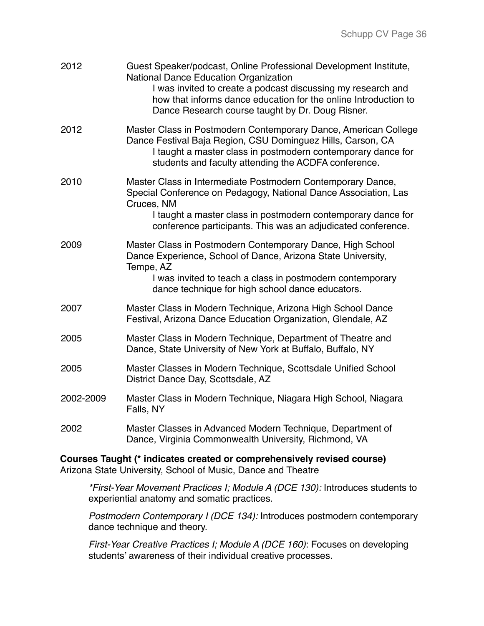| 2012      | Guest Speaker/podcast, Online Professional Development Institute,<br><b>National Dance Education Organization</b><br>I was invited to create a podcast discussing my research and<br>how that informs dance education for the online Introduction to<br>Dance Research course taught by Dr. Doug Risner. |
|-----------|----------------------------------------------------------------------------------------------------------------------------------------------------------------------------------------------------------------------------------------------------------------------------------------------------------|
| 2012      | Master Class in Postmodern Contemporary Dance, American College<br>Dance Festival Baja Region, CSU Dominguez Hills, Carson, CA<br>I taught a master class in postmodern contemporary dance for<br>students and faculty attending the ACDFA conference.                                                   |
| 2010      | Master Class in Intermediate Postmodern Contemporary Dance,<br>Special Conference on Pedagogy, National Dance Association, Las<br>Cruces, NM<br>I taught a master class in postmodern contemporary dance for<br>conference participants. This was an adjudicated conference.                             |
| 2009      | Master Class in Postmodern Contemporary Dance, High School<br>Dance Experience, School of Dance, Arizona State University,<br>Tempe, AZ<br>I was invited to teach a class in postmodern contemporary<br>dance technique for high school dance educators.                                                 |
| 2007      | Master Class in Modern Technique, Arizona High School Dance<br>Festival, Arizona Dance Education Organization, Glendale, AZ                                                                                                                                                                              |
| 2005      | Master Class in Modern Technique, Department of Theatre and<br>Dance, State University of New York at Buffalo, Buffalo, NY                                                                                                                                                                               |
| 2005      | Master Classes in Modern Technique, Scottsdale Unified School<br>District Dance Day, Scottsdale, AZ                                                                                                                                                                                                      |
| 2002-2009 | Master Class in Modern Technique, Niagara High School, Niagara<br>Falls, NY                                                                                                                                                                                                                              |
| 2002      | Master Classes in Advanced Modern Technique, Department of<br>Dance, Virginia Commonwealth University, Richmond, VA                                                                                                                                                                                      |

#### **Courses Taught (\* indicates created or comprehensively revised course)** Arizona State University, School of Music, Dance and Theatre

*\*First-Year Movement Practices I; Module A (DCE 130):* Introduces students to experiential anatomy and somatic practices.

*Postmodern Contemporary I (DCE 134):* Introduces postmodern contemporary dance technique and theory.

*First-Year Creative Practices I; Module A (DCE 160)*: Focuses on developing students' awareness of their individual creative processes.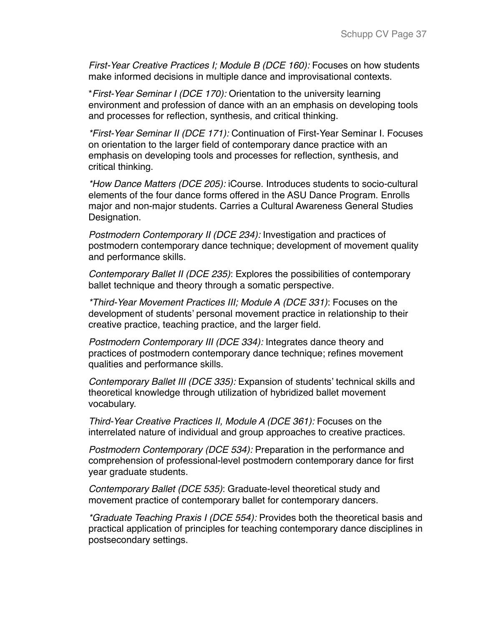*First-Year Creative Practices I; Module B (DCE 160): Focuses on how students* make informed decisions in multiple dance and improvisational contexts.

\**First-Year Seminar I (DCE 170):* Orientation to the university learning environment and profession of dance with an an emphasis on developing tools and processes for reflection, synthesis, and critical thinking.

*\*First-Year Seminar II (DCE 171):* Continuation of First-Year Seminar I. Focuses on orientation to the larger field of contemporary dance practice with an emphasis on developing tools and processes for reflection, synthesis, and critical thinking.

*\*How Dance Matters (DCE 205):* iCourse. Introduces students to socio-cultural elements of the four dance forms offered in the ASU Dance Program. Enrolls major and non-major students. Carries a Cultural Awareness General Studies Designation.

*Postmodern Contemporary II (DCE 234):* Investigation and practices of postmodern contemporary dance technique; development of movement quality and performance skills.

*Contemporary Ballet II (DCE 235)*: Explores the possibilities of contemporary ballet technique and theory through a somatic perspective.

*\*Third-Year Movement Practices III; Module A (DCE 331)*: Focuses on the development of students' personal movement practice in relationship to their creative practice, teaching practice, and the larger field.

*Postmodern Contemporary III (DCE 334):* Integrates dance theory and practices of postmodern contemporary dance technique; refines movement qualities and performance skills.

*Contemporary Ballet III (DCE 335):* Expansion of students' technical skills and theoretical knowledge through utilization of hybridized ballet movement vocabulary.

*Third-Year Creative Practices II, Module A (DCE 361):* Focuses on the interrelated nature of individual and group approaches to creative practices.

*Postmodern Contemporary (DCE 534):* Preparation in the performance and comprehension of professional-level postmodern contemporary dance for first year graduate students.

*Contemporary Ballet (DCE 535)*: Graduate-level theoretical study and movement practice of contemporary ballet for contemporary dancers.

*\*Graduate Teaching Praxis I (DCE 554):* Provides both the theoretical basis and practical application of principles for teaching contemporary dance disciplines in postsecondary settings.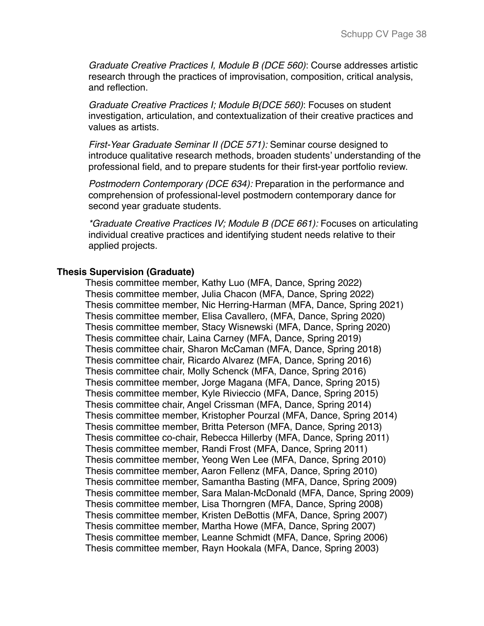*Graduate Creative Practices I, Module B (DCE 560)*: Course addresses artistic research through the practices of improvisation, composition, critical analysis, and reflection.

*Graduate Creative Practices I; Module B(DCE 560)*: Focuses on student investigation, articulation, and contextualization of their creative practices and values as artists.

*First-Year Graduate Seminar II (DCE 571):* Seminar course designed to introduce qualitative research methods, broaden students' understanding of the professional field, and to prepare students for their first-year portfolio review.

*Postmodern Contemporary (DCE 634):* Preparation in the performance and comprehension of professional-level postmodern contemporary dance for second year graduate students.

*\*Graduate Creative Practices IV; Module B (DCE 661):* Focuses on articulating individual creative practices and identifying student needs relative to their applied projects.

#### **Thesis Supervision (Graduate)**

Thesis committee member, Kathy Luo (MFA, Dance, Spring 2022) Thesis committee member, Julia Chacon (MFA, Dance, Spring 2022) Thesis committee member, Nic Herring-Harman (MFA, Dance, Spring 2021) Thesis committee member, Elisa Cavallero, (MFA, Dance, Spring 2020) Thesis committee member, Stacy Wisnewski (MFA, Dance, Spring 2020) Thesis committee chair, Laina Carney (MFA, Dance, Spring 2019) Thesis committee chair, Sharon McCaman (MFA, Dance, Spring 2018) Thesis committee chair, Ricardo Alvarez (MFA, Dance, Spring 2016) Thesis committee chair, Molly Schenck (MFA, Dance, Spring 2016) Thesis committee member, Jorge Magana (MFA, Dance, Spring 2015) Thesis committee member, Kyle Rivieccio (MFA, Dance, Spring 2015) Thesis committee chair, Angel Crissman (MFA, Dance, Spring 2014) Thesis committee member, Kristopher Pourzal (MFA, Dance, Spring 2014) Thesis committee member, Britta Peterson (MFA, Dance, Spring 2013) Thesis committee co-chair, Rebecca Hillerby (MFA, Dance, Spring 2011) Thesis committee member, Randi Frost (MFA, Dance, Spring 2011) Thesis committee member, Yeong Wen Lee (MFA, Dance, Spring 2010) Thesis committee member, Aaron Fellenz (MFA, Dance, Spring 2010) Thesis committee member, Samantha Basting (MFA, Dance, Spring 2009) Thesis committee member, Sara Malan-McDonald (MFA, Dance, Spring 2009) Thesis committee member, Lisa Thorngren (MFA, Dance, Spring 2008) Thesis committee member, Kristen DeBottis (MFA, Dance, Spring 2007) Thesis committee member, Martha Howe (MFA, Dance, Spring 2007) Thesis committee member, Leanne Schmidt (MFA, Dance, Spring 2006) Thesis committee member, Rayn Hookala (MFA, Dance, Spring 2003)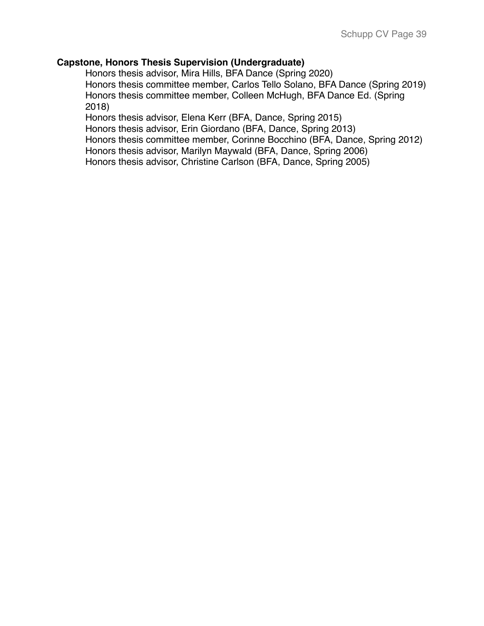## **Capstone, Honors Thesis Supervision (Undergraduate)**

Honors thesis advisor, Mira Hills, BFA Dance (Spring 2020) Honors thesis committee member, Carlos Tello Solano, BFA Dance (Spring 2019) Honors thesis committee member, Colleen McHugh, BFA Dance Ed. (Spring 2018)

Honors thesis advisor, Elena Kerr (BFA, Dance, Spring 2015)

Honors thesis advisor, Erin Giordano (BFA, Dance, Spring 2013)

Honors thesis committee member, Corinne Bocchino (BFA, Dance, Spring 2012)

Honors thesis advisor, Marilyn Maywald (BFA, Dance, Spring 2006)

Honors thesis advisor, Christine Carlson (BFA, Dance, Spring 2005)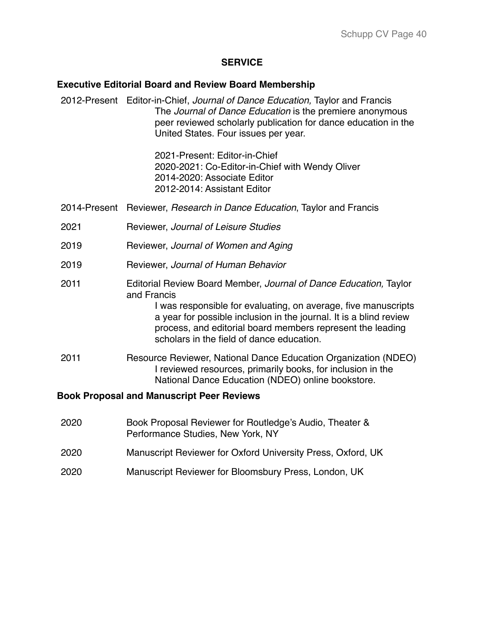#### **SERVICE**

#### **Executive Editorial Board and Review Board Membership**

2012-Present Editor-in-Chief, *Journal of Dance Education,* Taylor and Francis The *Journal of Dance Education* is the premiere anonymous peer reviewed scholarly publication for dance education in the United States. Four issues per year.

> 2021-Present: Editor-in-Chief 2020-2021: Co-Editor-in-Chief with Wendy Oliver 2014-2020: Associate Editor 2012-2014: Assistant Editor

- 2014-Present Reviewer, *Research in Dance Education*, Taylor and Francis
- 2021 Reviewer, *Journal of Leisure Studies*
- 2019 Reviewer, *Journal of Women and Aging*
- 2019 Reviewer, *Journal of Human Behavior*
- 2011 Editorial Review Board Member, *Journal of Dance Education,* Taylor and Francis

I was responsible for evaluating, on average, five manuscripts a year for possible inclusion in the journal. It is a blind review process, and editorial board members represent the leading scholars in the field of dance education.

2011 Resource Reviewer, National Dance Education Organization (NDEO) I reviewed resources, primarily books, for inclusion in the National Dance Education (NDEO) online bookstore.

#### **Book Proposal and Manuscript Peer Reviews**

| 2020 | Book Proposal Reviewer for Routledge's Audio, Theater &<br>Performance Studies, New York, NY |
|------|----------------------------------------------------------------------------------------------|
| 2020 | Manuscript Reviewer for Oxford University Press, Oxford, UK                                  |
| 2020 | Manuscript Reviewer for Bloomsbury Press, London, UK                                         |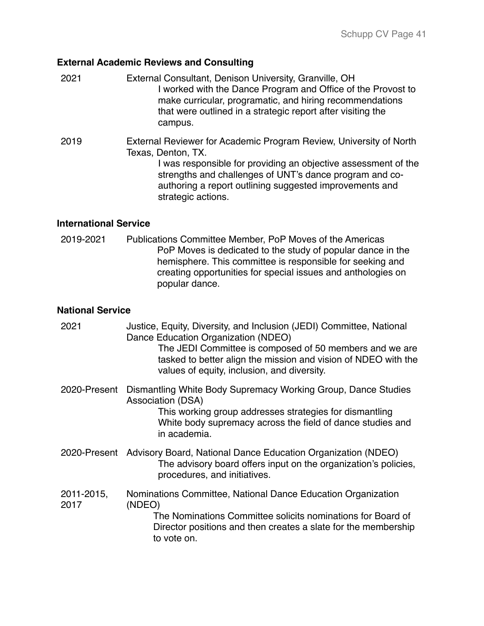# **External Academic Reviews and Consulting**

| 2021 | External Consultant, Denison University, Granville, OH<br>I worked with the Dance Program and Office of the Provost to<br>make curricular, programatic, and hiring recommendations<br>that were outlined in a strategic report after visiting the<br>campus.                                                                                                                                 |
|------|----------------------------------------------------------------------------------------------------------------------------------------------------------------------------------------------------------------------------------------------------------------------------------------------------------------------------------------------------------------------------------------------|
| 2019 | External Reviewer for Academic Program Review, University of North<br>Texas, Denton, TX.<br>I was responsible for providing an objective assessment of the<br>catalogue and the collection of the collection of the collection of the collection of the collection of the collection of the collection of the collection of the collection of the collection of the collection of the collec |

strengths and challenges of UNT's dance program and coauthoring a report outlining suggested improvements and strategic actions.

## **International Service**

2019-2021 Publications Committee Member, PoP Moves of the Americas PoP Moves is dedicated to the study of popular dance in the hemisphere. This committee is responsible for seeking and creating opportunities for special issues and anthologies on popular dance.

## **National Service**

| 2021               | Justice, Equity, Diversity, and Inclusion (JEDI) Committee, National<br>Dance Education Organization (NDEO)<br>The JEDI Committee is composed of 50 members and we are<br>tasked to better align the mission and vision of NDEO with the<br>values of equity, inclusion, and diversity. |
|--------------------|-----------------------------------------------------------------------------------------------------------------------------------------------------------------------------------------------------------------------------------------------------------------------------------------|
| 2020-Present       | Dismantling White Body Supremacy Working Group, Dance Studies<br>Association (DSA)<br>This working group addresses strategies for dismantling<br>White body supremacy across the field of dance studies and<br>in academia.                                                             |
| 2020-Present       | Advisory Board, National Dance Education Organization (NDEO)<br>The advisory board offers input on the organization's policies,<br>procedures, and initiatives.                                                                                                                         |
| 2011-2015,<br>2017 | Nominations Committee, National Dance Education Organization<br>(NDEO)<br>The Nominations Committee solicits nominations for Board of<br>Director positions and then creates a slate for the membership<br>to vote on.                                                                  |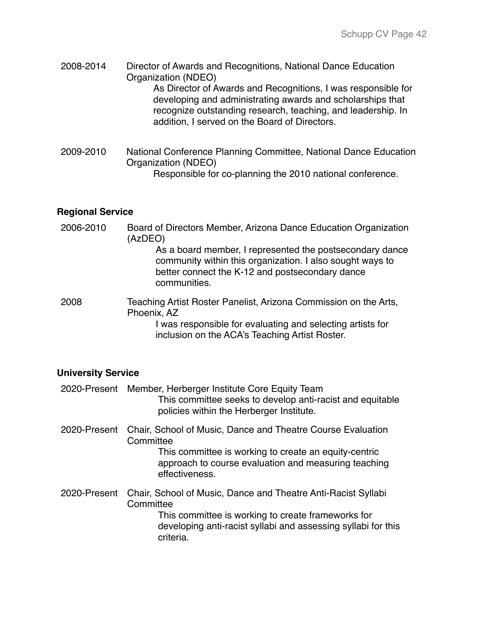- 2008-2014 Director of Awards and Recognitions, National Dance Education Organization (NDEO) As Director of Awards and Recognitions, I was responsible for developing and administrating awards and scholarships that recognize outstanding research, teaching, and leadership. In addition, I served on the Board of Directors.
- 2009-2010 National Conference Planning Committee, National Dance Education Organization (NDEO) Responsible for co-planning the 2010 national conference.

## **Regional Service**

2006-2010 Board of Directors Member, Arizona Dance Education Organization (AzDEO) As a board member, I represented the postsecondary dance community within this organization. I also sought ways to better connect the K-12 and postsecondary dance communities. 2008 Teaching Artist Roster Panelist, Arizona Commission on the Arts, Phoenix, AZ I was responsible for evaluating and selecting artists for inclusion on the ACA's Teaching Artist Roster.

## **University Service**

| 2020-Present | Member, Herberger Institute Core Equity Team<br>This committee seeks to develop anti-racist and equitable<br>policies within the Herberger Institute.                                                          |
|--------------|----------------------------------------------------------------------------------------------------------------------------------------------------------------------------------------------------------------|
| 2020-Present | Chair, School of Music, Dance and Theatre Course Evaluation<br>Committee<br>This committee is working to create an equity-centric<br>approach to course evaluation and measuring teaching<br>effectiveness.    |
| 2020-Present | Chair, School of Music, Dance and Theatre Anti-Racist Syllabi<br>Committee<br>This committee is working to create frameworks for<br>developing anti-racist syllabi and assessing syllabi for this<br>criteria. |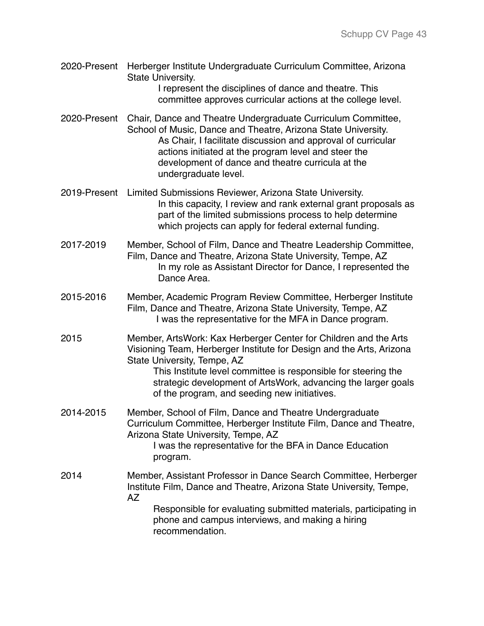2020-Present Herberger Institute Undergraduate Curriculum Committee, Arizona State University. I represent the disciplines of dance and theatre. This

committee approves curricular actions at the college level.

- 2020-Present Chair, Dance and Theatre Undergraduate Curriculum Committee, School of Music, Dance and Theatre, Arizona State University. As Chair, I facilitate discussion and approval of curricular actions initiated at the program level and steer the development of dance and theatre curricula at the undergraduate level.
- 2019-Present Limited Submissions Reviewer, Arizona State University. In this capacity, I review and rank external grant proposals as part of the limited submissions process to help determine which projects can apply for federal external funding.
- 2017-2019 Member, School of Film, Dance and Theatre Leadership Committee, Film, Dance and Theatre, Arizona State University, Tempe, AZ In my role as Assistant Director for Dance, I represented the Dance Area.
- 2015-2016 Member, Academic Program Review Committee, Herberger Institute Film, Dance and Theatre, Arizona State University, Tempe, AZ I was the representative for the MFA in Dance program.
- 2015 Member, ArtsWork: Kax Herberger Center for Children and the Arts Visioning Team, Herberger Institute for Design and the Arts, Arizona State University, Tempe, AZ

This Institute level committee is responsible for steering the strategic development of ArtsWork, advancing the larger goals of the program, and seeding new initiatives.

2014-2015 Member, School of Film, Dance and Theatre Undergraduate Curriculum Committee, Herberger Institute Film, Dance and Theatre, Arizona State University, Tempe, AZ I was the representative for the BFA in Dance Education program.

2014 Member, Assistant Professor in Dance Search Committee, Herberger Institute Film, Dance and Theatre, Arizona State University, Tempe, AZ Responsible for evaluating submitted materials, participating in phone and campus interviews, and making a hiring recommendation.